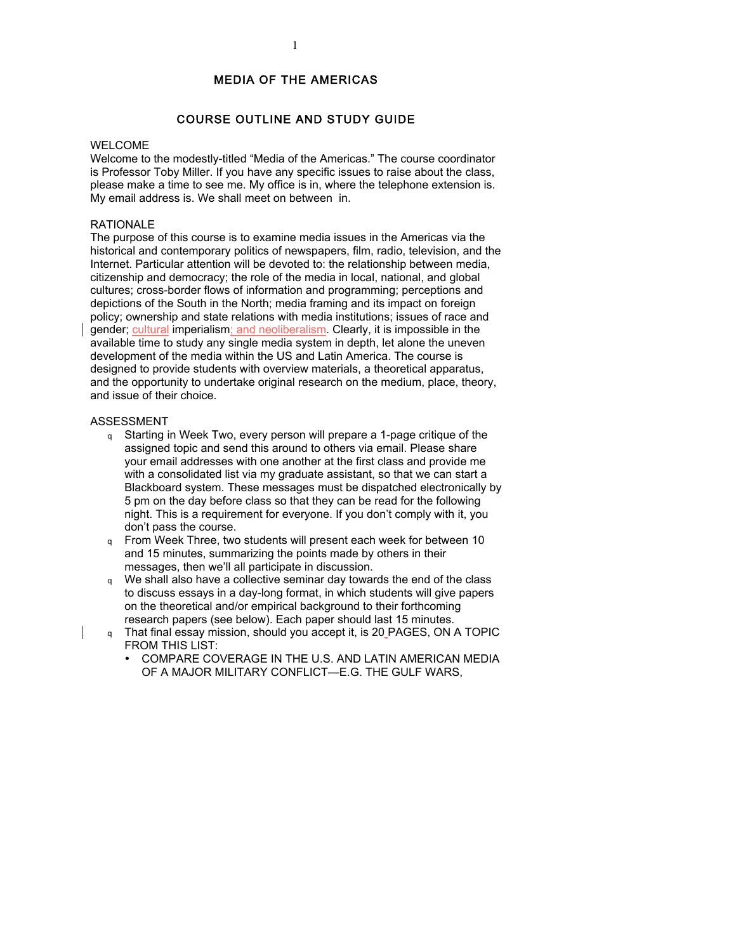## MEDIA OF THE AMERICAS

## COURSE OUTLINE AND STUDY GUIDE

### WELCOME

Welcome to the modestly-titled "Media of the Americas." The course coordinator is Professor Toby Miller. If you have any specific issues to raise about the class, please make a time to see me. My office is in, where the telephone extension is. My email address is. We shall meet on between in.

## RATIONALE

The purpose of this course is to examine media issues in the Americas via the historical and contemporary politics of newspapers, film, radio, television, and the Internet. Particular attention will be devoted to: the relationship between media, citizenship and democracy; the role of the media in local, national, and global cultures; cross-border flows of information and programming; perceptions and depictions of the South in the North; media framing and its impact on foreign policy; ownership and state relations with media institutions; issues of race and gender; cultural imperialism; and neoliberalism. Clearly, it is impossible in the available time to study any single media system in depth, let alone the uneven development of the media within the US and Latin America. The course is designed to provide students with overview materials, a theoretical apparatus, and the opportunity to undertake original research on the medium, place, theory, and issue of their choice.

### ASSESSMENT

- <sup>q</sup> Starting in Week Two, every person will prepare a 1-page critique of the assigned topic and send this around to others via email. Please share your email addresses with one another at the first class and provide me with a consolidated list via my graduate assistant, so that we can start a Blackboard system. These messages must be dispatched electronically by 5 pm on the day before class so that they can be read for the following night. This is a requirement for everyone. If you don't comply with it, you don't pass the course.
- <sup>q</sup> From Week Three, two students will present each week for between 10 and 15 minutes, summarizing the points made by others in their messages, then we'll all participate in discussion.
- q We shall also have a collective seminar day towards the end of the class to discuss essays in a day-long format, in which students will give papers on the theoretical and/or empirical background to their forthcoming research papers (see below). Each paper should last 15 minutes.
- <sup>q</sup> That final essay mission, should you accept it, is 20 PAGES, ON A TOPIC FROM THIS LIST:
	- COMPARE COVERAGE IN THE U.S. AND LATIN AMERICAN MEDIA OF A MAJOR MILITARY CONFLICT—E.G. THE GULF WARS,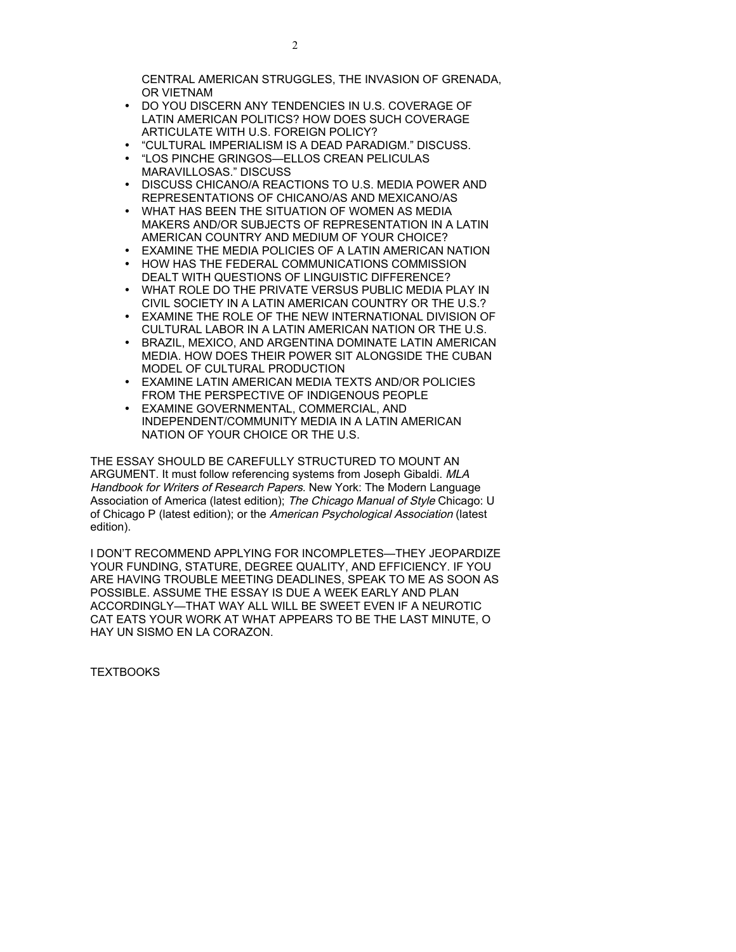CENTRAL AMERICAN STRUGGLES, THE INVASION OF GRENADA, OR VIETNAM

- DO YOU DISCERN ANY TENDENCIES IN U.S. COVERAGE OF LATIN AMERICAN POLITICS? HOW DOES SUCH COVERAGE ARTICULATE WITH U.S. FOREIGN POLICY?
- "CULTURAL IMPERIALISM IS A DEAD PARADIGM." DISCUSS.
- "LOS PINCHE GRINGOS—ELLOS CREAN PELICULAS MARAVILLOSAS." DISCUSS
- DISCUSS CHICANO/A REACTIONS TO U.S. MEDIA POWER AND REPRESENTATIONS OF CHICANO/AS AND MEXICANO/AS
- WHAT HAS BEEN THE SITUATION OF WOMEN AS MEDIA MAKERS AND/OR SUBJECTS OF REPRESENTATION IN A LATIN AMERICAN COUNTRY AND MEDIUM OF YOUR CHOICE?
- EXAMINE THE MEDIA POLICIES OF A LATIN AMERICAN NATION
- HOW HAS THE FEDERAL COMMUNICATIONS COMMISSION DEALT WITH QUESTIONS OF LINGUISTIC DIFFERENCE?
- WHAT ROLE DO THE PRIVATE VERSUS PUBLIC MEDIA PLAY IN CIVIL SOCIETY IN A LATIN AMERICAN COUNTRY OR THE U.S.?
- EXAMINE THE ROLE OF THE NEW INTERNATIONAL DIVISION OF CULTURAL LABOR IN A LATIN AMERICAN NATION OR THE U.S.
- BRAZIL, MEXICO, AND ARGENTINA DOMINATE LATIN AMERICAN MEDIA. HOW DOES THEIR POWER SIT ALONGSIDE THE CUBAN MODEL OF CULTURAL PRODUCTION
- EXAMINE LATIN AMERICAN MEDIA TEXTS AND/OR POLICIES FROM THE PERSPECTIVE OF INDIGENOUS PEOPLE
- EXAMINE GOVERNMENTAL, COMMERCIAL, AND INDEPENDENT/COMMUNITY MEDIA IN A LATIN AMERICAN NATION OF YOUR CHOICE OR THE U.S.

THE ESSAY SHOULD BE CAREFULLY STRUCTURED TO MOUNT AN ARGUMENT. It must follow referencing systems from Joseph Gibaldi. MLA Handbook for Writers of Research Papers. New York: The Modern Language Association of America (latest edition); The Chicago Manual of Style Chicago: U of Chicago P (latest edition); or the American Psychological Association (latest edition).

I DON'T RECOMMEND APPLYING FOR INCOMPLETES—THEY JEOPARDIZE YOUR FUNDING, STATURE, DEGREE QUALITY, AND EFFICIENCY. IF YOU ARE HAVING TROUBLE MEETING DEADLINES, SPEAK TO ME AS SOON AS POSSIBLE. ASSUME THE ESSAY IS DUE A WEEK EARLY AND PLAN ACCORDINGLY—THAT WAY ALL WILL BE SWEET EVEN IF A NEUROTIC CAT EATS YOUR WORK AT WHAT APPEARS TO BE THE LAST MINUTE, O HAY UN SISMO EN LA CORAZON.

**TEXTBOOKS**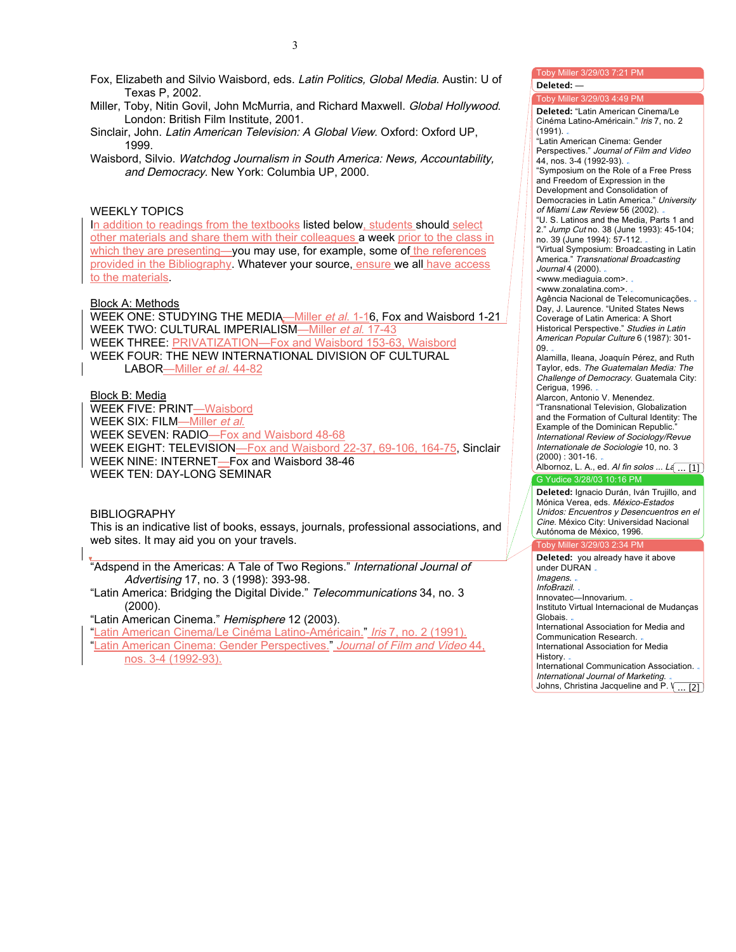Fox, Elizabeth and Silvio Waisbord, eds. Latin Politics, Global Media. Austin: U of Texas P, 2002.

- Miller, Toby, Nitin Govil, John McMurria, and Richard Maxwell. Global Hollywood. London: British Film Institute, 2001.
- Sinclair, John. Latin American Television: A Global View. Oxford: Oxford UP, 1999.
- Waisbord, Silvio. Watchdog Journalism in South America: News, Accountability, and Democracy. New York: Columbia UP, 2000.

## WEEKLY TOPICS

In addition to readings from the textbooks listed below, students should select other materials and share them with their colleagues a week prior to the class in which they are presenting-you may use, for example, some of the references provided in the Bibliography. Whatever your source, ensure we all have access to the materials.

### Block A: Methods

WEEK ONE: STUDYING THE MEDIA—Miller et al. 1-16, Fox and Waisbord 1-21 WEEK TWO: CULTURAL IMPERIALISM-Miller et al. 17-43 WEEK THREE: PRIVATIZATION—Fox and Waisbord 153-63, Waisbord WEEK FOUR: THE NEW INTERNATIONAL DIVISION OF CULTURAL LABOR-Miller et al. 44-82

Block B: Media

WEEK FIVE: PRINT—Waisbord WEEK SIX: FILM-Miller et al. WEEK SEVEN: RADIO—Fox and Waisbord 48-68 WEEK EIGHT: TELEVISION—Fox and Waisbord 22-37, 69-106, 164-75, Sinclair WEEK NINE: INTERNET—Fox and Waisbord 38-46 WEEK TEN: DAY-LONG SEMINAR

BIBLIOGRAPHY

This is an indicative list of books, essays, journals, professional associations, and web sites. It may aid you on your travels.

"Adspend in the Americas: A Tale of Two Regions." International Journal of Advertising 17, no. 3 (1998): 393-98.

"Latin America: Bridging the Digital Divide." Telecommunications 34, no. 3 (2000).

"Latin American Cinema." Hemisphere 12 (2003).

"Latin American Cinema/Le Cinéma Latino-Américain." Iris 7, no. 2 (1991).

"Latin American Cinema: Gender Perspectives." Journal of Film and Video 44, nos. 3-4 (1992-93).

#### Toby Miller 3/29/03 4:49 PM G Yudice 3/28/03 10:16 PM **Deleted:** "Latin American Cinema/Le Cinéma Latino-Américain." Iris 7, no. 2 (1991). "Latin American Cinema: Gender Perspectives." Journal of Film and Video 44, nos. 3-4 (1992-93). "Symposium on the Role of a Free Press and Freedom of Expression in the Development and Consolidation of Democracies in Latin America." University of Miami Law Review 56 (2002). "U. S. Latinos and the Media, Parts 1 and 2." Jump Cut no. 38 (June 1993): 45-104; no. 39 (June 1994): 57-112. "Virtual Symposium: Broadcasting in Latin America." Transnational Broadcasting Journal 4 (2000). <www.mediaguia.com>. <www.zonalatina.com>. Agência Nacional de Telecomunicações. Day, J. Laurence. "United States News Coverage of Latin America: A Short Historical Perspective." Studies in Latin American Popular Culture 6 (1987): 301- 09. Alamilla, Ileana, Joaquín Pérez, and Ruth Taylor, eds. The Guatemalan Media: The Challenge of Democracy. Guatemala City: Cerigua, 1996. Alarcon, Antonio V. Menendez. "Transnational Television, Globalization and the Formation of Cultural Identity: The Example of the Dominican Republic. International Review of Sociology/Revue Internationale de Sociologie 10, no. 3  $(2000) : 301 - 16.$ Albornoz, L. A., ed. *Al fin solos ... La* ... [1] Aires: Editorial Ciccus-La Crujía, 2000.

Toby Miller 3/29/03 7:21 PM

**Deleted:** —

Deleted: Ignacio Durán, Iván Trujillo, and Mónica Verea, eds. *México-Estados*<br>Weiden Francisco Unidos: Encuentros y Desencuentros en el Cine. México City: Universidad Nacional Autónoma de México, 1996.

#### Toby Miller 3/29/03 2:34 PM Toby Miller 3/29

Deleted: you already have it above under DURAN. lmagens. InfoBrazil. Innovatec—Innovarium.. Instituto Virtual Internacional de Mudanças democracia en México. Guadalajara: U de Santo Constantino de Santo Constantino de Santo Constantino de Santo C International Association for Media and Communication Research. . International Association for Media History. International Communication Association. International Journal of Marketing. .

Johns, Christina Jacqueline a Johns, Christina Jacqueline and P.  $\setminus \ldots$  [2] Johnson. State Crime, the Media, and the  $\overline{21}$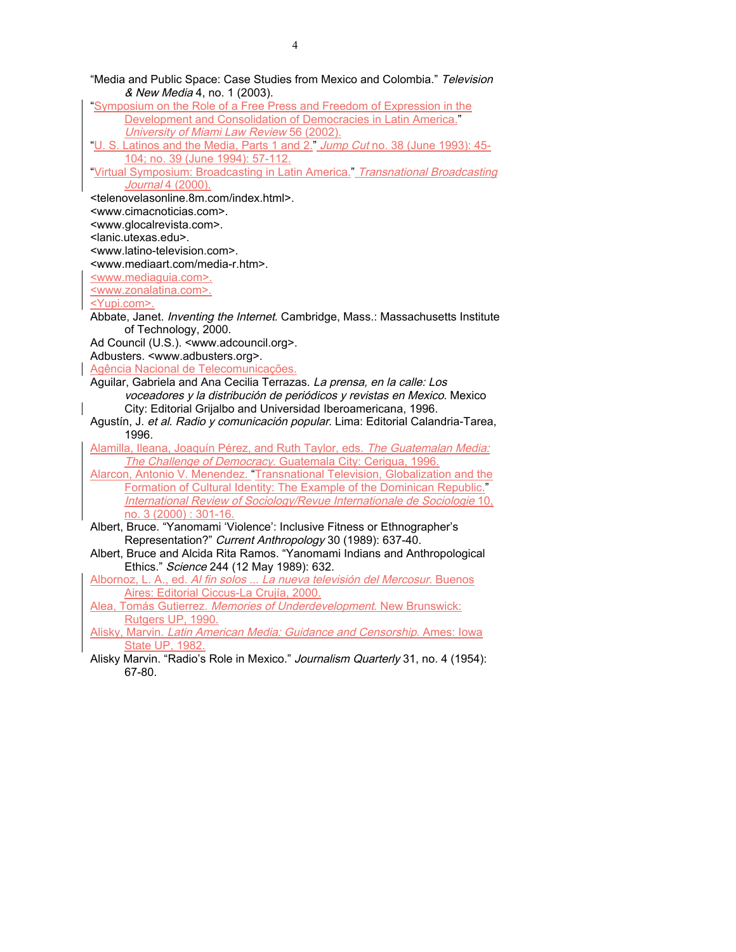|              | "Media and Public Space: Case Studies from Mexico and Colombia." Television                         |
|--------------|-----------------------------------------------------------------------------------------------------|
|              | & New Media 4, no. 1 (2003).                                                                        |
|              | "Symposium on the Role of a Free Press and Freedom of Expression in the                             |
|              | Development and Consolidation of Democracies in Latin America."                                     |
|              | University of Miami Law Review 56 (2002).                                                           |
|              | "U. S. Latinos and the Media, Parts 1 and 2." Jump Cut no. 38 (June 1993): 45-                      |
|              | 104; no. 39 (June 1994): 57-112.                                                                    |
|              | "Virtual Symposium: Broadcasting in Latin America." Transnational Broadcasting<br>Journal 4 (2000). |
|              | <telenovelasonline.8m.com index.html="">.</telenovelasonline.8m.com>                                |
|              | <www.cimacnoticias.com>.</www.cimacnoticias.com>                                                    |
|              | <www.glocalrevista.com>.</www.glocalrevista.com>                                                    |
|              | <lanic.utexas.edu>.</lanic.utexas.edu>                                                              |
|              | <www.latino-television.com>.</www.latino-television.com>                                            |
|              | <www.mediaart.com media-r.htm="">.</www.mediaart.com>                                               |
|              | <www.mediaguia.com>.</www.mediaguia.com>                                                            |
|              | <www.zonalatina.com>.</www.zonalatina.com>                                                          |
|              | <yupi.com>.</yupi.com>                                                                              |
|              | Abbate, Janet. Inventing the Internet. Cambridge, Mass.: Massachusetts Institute                    |
|              | of Technology, 2000.                                                                                |
|              | Ad Council (U.S.). <www.adcouncil.org>.</www.adcouncil.org>                                         |
|              | Adbusters. <www.adbusters.org>.</www.adbusters.org>                                                 |
|              | Agência Nacional de Telecomunicações.                                                               |
|              | Aguilar, Gabriela and Ana Cecilia Terrazas. La prensa, en la calle: Los                             |
|              | voceadores y la distribución de periódicos y revistas en Mexico. Mexico                             |
| $\mathsf{l}$ | City: Editorial Grijalbo and Universidad Iberoamericana, 1996.                                      |
|              | Agustín, J. et al. Radio y comunicación popular. Lima: Editorial Calandria-Tarea,                   |
|              | 1996.                                                                                               |
|              | Alamilla, Ileana, Joaquín Pérez, and Ruth Taylor, eds. The Guatemalan Media:                        |
|              | The Challenge of Democracy. Guatemala City: Cerigua, 1996.                                          |
|              | Alarcon, Antonio V. Menendez. "Transnational Television, Globalization and the                      |
|              | Formation of Cultural Identity: The Example of the Dominican Republic."                             |
|              | International Review of Sociology/Revue Internationale de Sociologie 10,                            |
|              | no. 3 (2000): 301-16.                                                                               |
|              | Albert, Bruce. "Yanomami 'Violence': Inclusive Fitness or Ethnographer's                            |
|              | Representation?" Current Anthropology 30 (1989): 637-40.                                            |
|              | Albert, Bruce and Alcida Rita Ramos. "Yanomami Indians and Anthropological                          |
|              | Ethics." Science 244 (12 May 1989): 632.                                                            |
|              | Albornoz, L. A., ed. Al fin solos  La nueva televisión del Mercosur. Buenos                         |
|              | Aires: Editorial Ciccus-La Crujía, 2000.                                                            |
|              | Alea, Tomás Gutierrez. Memories of Underdevelopment. New Brunswick:                                 |
|              | Rutgers UP, 1990.                                                                                   |
|              | Alisky, Marvin. Latin American Media: Guidance and Censorship. Ames: Iowa<br>State UP, 1982.        |
|              | Alisky Marvin. "Radio's Role in Mexico." Journalism Quarterly 31, no. 4 (1954):                     |
|              |                                                                                                     |

- 
- 67-80.

4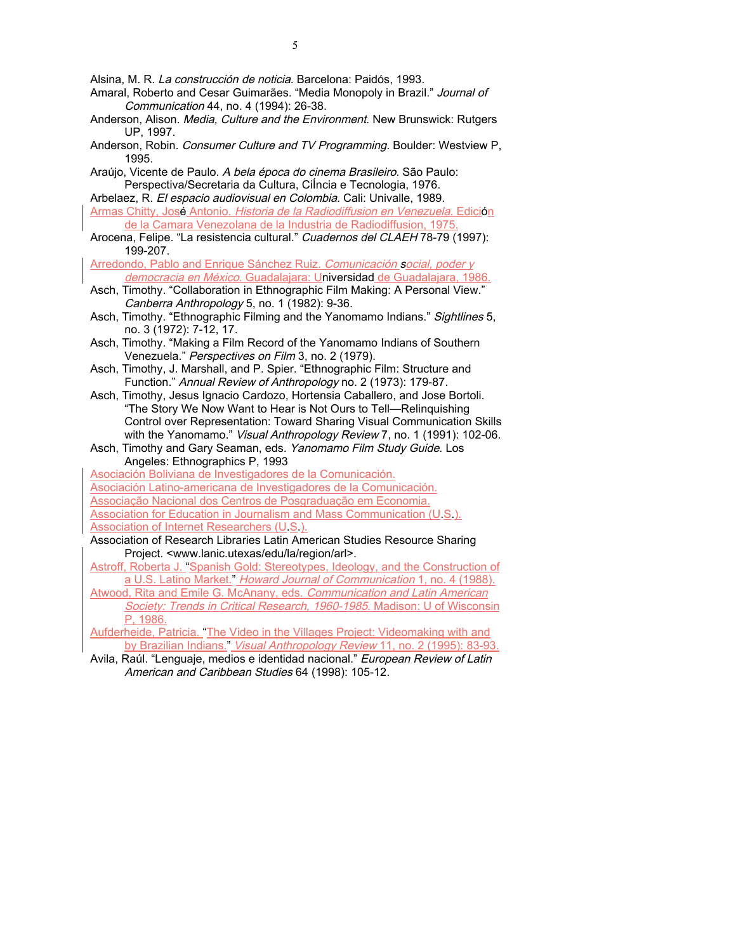Alsina, M. R. La construcción de noticia. Barcelona: Paidós, 1993.

- Amaral, Roberto and Cesar Guimarães. "Media Monopoly in Brazil." Journal of Communication 44, no. 4 (1994): 26-38.
- Anderson, Alison. Media, Culture and the Environment. New Brunswick: Rutgers UP, 1997.
- Anderson, Robin. Consumer Culture and TV Programming. Boulder: Westview P, 1995.
- Araújo, Vicente de Paulo. A bela época do cinema Brasileiro. São Paulo: Perspectiva/Secretaria da Cultura, CiÍncia e Tecnologia, 1976. Arbelaez, R. El espacio audiovisual en Colombia. Cali: Univalle, 1989.
- Armas Chitty, José Antonio. Historia de la Radiodiffusion en Venezuela. Edición de la Camara Venezolana de la Industria de Radiodiffusion, 1975.
- Arocena, Felipe. "La resistencia cultural." Cuadernos del CLAEH 78-79 (1997): 199-207.

Arredondo, Pablo and Enrique Sánchez Ruiz. Comunicación social, poder y

- democracia en México. Guadalajara: Universidad de Guadalajara, 1986. Asch, Timothy. "Collaboration in Ethnographic Film Making: A Personal View."
- Canberra Anthropology 5, no. 1 (1982): 9-36. Asch, Timothy. "Ethnographic Filming and the Yanomamo Indians." Sightlines 5,
- no. 3 (1972): 7-12, 17.
- Asch, Timothy. "Making a Film Record of the Yanomamo Indians of Southern Venezuela." Perspectives on Film 3, no. 2 (1979).
- Asch, Timothy, J. Marshall, and P. Spier. "Ethnographic Film: Structure and Function." Annual Review of Anthropology no. 2 (1973): 179-87.
- Asch, Timothy, Jesus Ignacio Cardozo, Hortensia Caballero, and Jose Bortoli. "The Story We Now Want to Hear is Not Ours to Tell—Relinquishing Control over Representation: Toward Sharing Visual Communication Skills with the Yanomamo." Visual Anthropology Review 7, no. 1 (1991): 102-06.
- Asch, Timothy and Gary Seaman, eds. Yanomamo Film Study Guide. Los Angeles: Ethnographics P, 1993

Asociación Boliviana de Investigadores de la Comunicación.

Asociación Latino-americana de Investigadores de la Comunicación.

Associação Nacional dos Centros de Posgraduação em Economia.

Association for Education in Journalism and Mass Communication (U.S.). Association of Internet Researchers (U.S.).

- Association of Research Libraries Latin American Studies Resource Sharing Project. <www.lanic.utexas/edu/la/region/arl>.
- Astroff, Roberta J. "Spanish Gold: Stereotypes, Ideology, and the Construction of a U.S. Latino Market." Howard Journal of Communication 1, no. 4 (1988).
- Atwood, Rita and Emile G. McAnany, eds. Communication and Latin American Society: Trends in Critical Research, 1960-1985. Madison: U of Wisconsin P, 1986.

Aufderheide, Patricia. "The Video in the Villages Project: Videomaking with and by Brazilian Indians." Visual Anthropology Review 11, no. 2 (1995): 83-93.

Avila, Raúl. "Lenguaje, medios e identidad nacional." European Review of Latin American and Caribbean Studies 64 (1998): 105-12.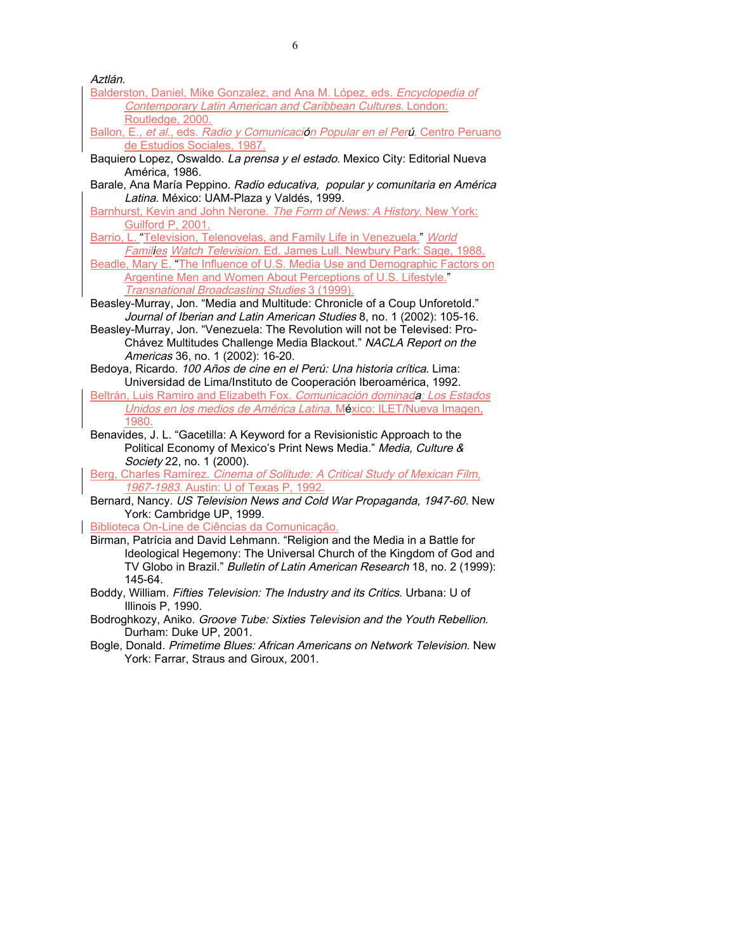Aztlán.

- Balderston, Daniel, Mike Gonzalez, and Ana M. López, eds. Encyclopedia of Contemporary Latin American and Caribbean Cultures. London: Routledge, 2000.
- Ballon, E., et al., eds. Radio y Comunicación Popular en el Perú. Centro Peruano de Estudios Sociales, 1987.
- Baquiero Lopez, Oswaldo. La prensa y el estado. Mexico City: Editorial Nueva América, 1986.
- Barale, Ana María Peppino. Radio educativa, popular y comunitaria en América Latina. México: UAM-Plaza y Valdés, 1999.
- Barnhurst, Kevin and John Nerone. The Form of News: A History. New York: Guilford P, 2001.
- Barrio, L. "Television, Telenovelas, and Family Life in Venezuela." World
- Families Watch Television. Ed. James Lull. Newbury Park: Sage, 1988. Beadle, Mary E. "The Influence of U.S. Media Use and Demographic Factors on

Argentine Men and Women About Perceptions of U.S. Lifestyle." Transnational Broadcasting Studies 3 (1999).

- Beasley-Murray, Jon. "Media and Multitude: Chronicle of a Coup Unforetold." Journal of Iberian and Latin American Studies 8, no. 1 (2002): 105-16.
- Beasley-Murray, Jon. "Venezuela: The Revolution will not be Televised: Pro-Chávez Multitudes Challenge Media Blackout." NACLA Report on the Americas 36, no. 1 (2002): 16-20.
- Bedoya, Ricardo. 100 Años de cine en el Perú: Una historia crítica. Lima: Universidad de Lima/Instituto de Cooperación Iberoamérica, 1992.
- Beltrán, Luis Ramiro and Elizabeth Fox. Comunicación dominada: Los Estados Unidos en los medios de América Latina. México: ILET/Nueva Imagen, 1980.
- Benavides, J. L. "Gacetilla: A Keyword for a Revisionistic Approach to the Political Economy of Mexico's Print News Media." Media, Culture & Society 22, no. 1 (2000).

Berg, Charles Ramírez. Cinema of Solitude: A Critical Study of Mexican Film, 1967-1983. Austin: U of Texas P, 1992.

Bernard, Nancy. US Television News and Cold War Propaganda, 1947-60. New York: Cambridge UP, 1999.

Biblioteca On-Line de Ciências da Comunicação.

- Birman, Patrícia and David Lehmann. "Religion and the Media in a Battle for Ideological Hegemony: The Universal Church of the Kingdom of God and TV Globo in Brazil." Bulletin of Latin American Research 18, no. 2 (1999): 145-64.
- Boddy, William. Fifties Television: The Industry and its Critics. Urbana: U of Illinois P, 1990.
- Bodroghkozy, Aniko. Groove Tube: Sixties Television and the Youth Rebellion. Durham: Duke UP, 2001.
- Bogle, Donald. Primetime Blues: African Americans on Network Television. New York: Farrar, Straus and Giroux, 2001.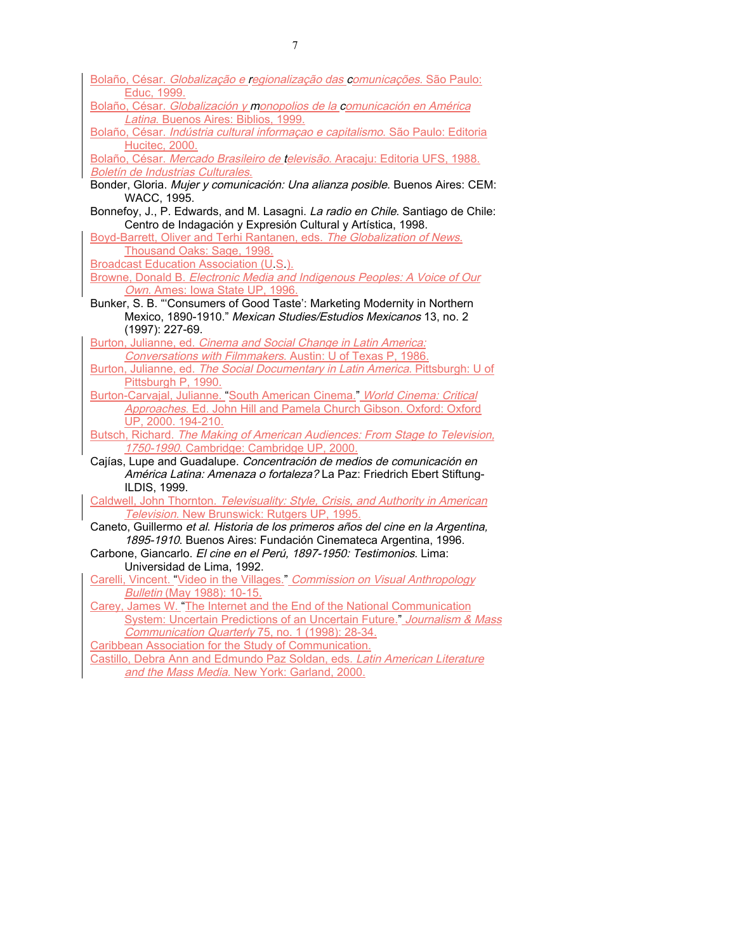| Bolaño, César. Globalização e regionalização das comunicações. São Paulo:        |
|----------------------------------------------------------------------------------|
| Educ, 1999.                                                                      |
| Bolaño, César. Globalización y monopolios de la comunicación en América          |
| Latina. Buenos Aires: Biblios, 1999.                                             |
| Bolaño, César. Indústria cultural informação e capitalismo. São Paulo: Editoria  |
| Hucitec, 2000.                                                                   |
| Bolaño, César. Mercado Brasileiro de televisão. Aracaju: Editoria UFS, 1988.     |
| Boletín de Industrias Culturales.                                                |
| Bonder, Gloria. Mujer y comunicación: Una alianza posible. Buenos Aires: CEM:    |
| WACC, 1995.                                                                      |
| Bonnefoy, J., P. Edwards, and M. Lasagni. La radio en Chile. Santiago de Chile:  |
| Centro de Indagación y Expresión Cultural y Artística, 1998.                     |
| Boyd-Barrett, Oliver and Terhi Rantanen, eds. The Globalization of News.         |
| Thousand Oaks: Sage, 1998.                                                       |
| <b>Broadcast Education Association (U.S.).</b>                                   |
| Browne, Donald B. Electronic Media and Indigenous Peoples: A Voice of Our        |
| Own. Ames: Iowa State UP, 1996.                                                  |
| Bunker, S. B. "Consumers of Good Taste': Marketing Modernity in Northern         |
| Mexico, 1890-1910." Mexican Studies/Estudios Mexicanos 13, no. 2                 |
| (1997): 227-69.                                                                  |
| Burton, Julianne, ed. Cinema and Social Change in Latin America:                 |
| Conversations with Filmmakers. Austin: U of Texas P, 1986.                       |
| Burton, Julianne, ed. The Social Documentary in Latin America. Pittsburgh: U of  |
| Pittsburgh P, 1990.                                                              |
| Burton-Carvajal, Julianne. "South American Cinema." World Cinema: Critical       |
| Approaches. Ed. John Hill and Pamela Church Gibson. Oxford: Oxford               |
| UP, 2000. 194-210.                                                               |
| Butsch, Richard. The Making of American Audiences: From Stage to Television,     |
| 1750-1990. Cambridge: Cambridge UP, 2000.                                        |
| Cajías, Lupe and Guadalupe. Concentración de medios de comunicación en           |
| América Latina: Amenaza o fortaleza? La Paz: Friedrich Ebert Stiftung-           |
| ILDIS, 1999.                                                                     |
| Caldwell, John Thornton. Televisuality: Style, Crisis, and Authority in American |
| Television. New Brunswick: Rutgers UP, 1995.                                     |
| Caneto, Guillermo et al. Historia de los primeros años del cine en la Argentina, |
| 1895-1910. Buenos Aires: Fundación Cinemateca Argentina, 1996.                   |
| Carbone, Giancarlo. El cine en el Perú, 1897-1950: Testimonios. Lima:            |
| Universidad de Lima, 1992.                                                       |
| Carelli, Vincent. "Video in the Villages." Commission on Visual Anthropology     |
| <b>Bulletin (May 1988): 10-15.</b>                                               |
| Carey, James W. "The Internet and the End of the National Communication          |
| System: Uncertain Predictions of an Uncertain Future." Journalism & Mass         |
| Communication Quarterly 75, no. 1 (1998): 28-34.                                 |
| Caribbean Association for the Study of Communication.                            |
| Castillo, Debra Ann and Edmundo Paz Soldan, eds. Latin American Literature       |
| and the Mass Media. New York: Garland, 2000.                                     |
|                                                                                  |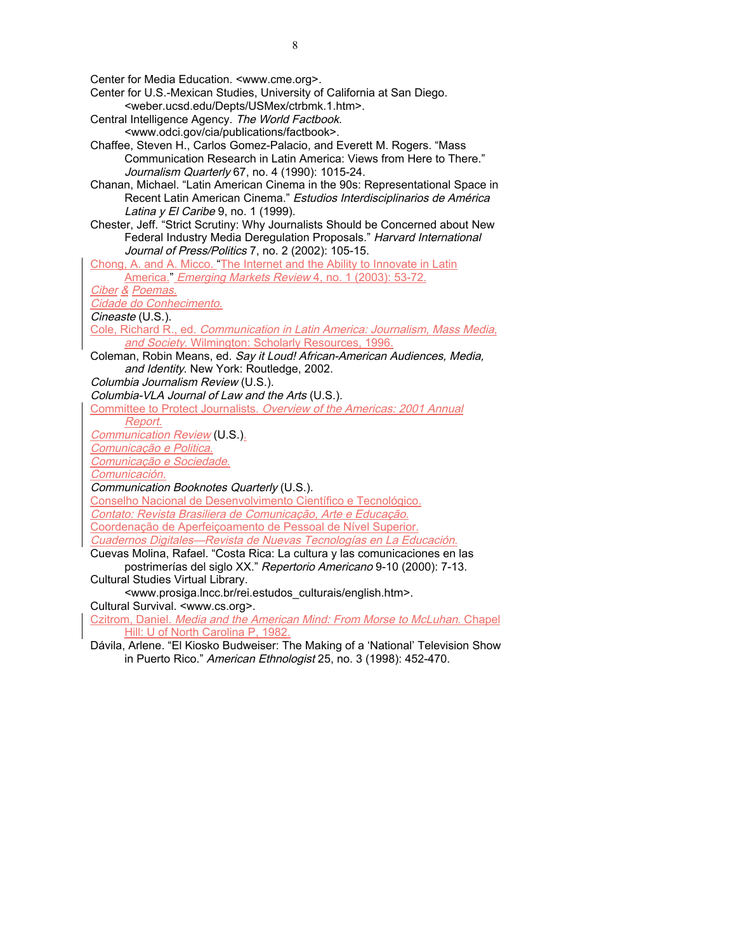Center for Media Education. <www.cme.org>.

- Center for U.S.-Mexican Studies, University of California at San Diego. <weber.ucsd.edu/Depts/USMex/ctrbmk.1.htm>.
- Central Intelligence Agency. The World Factbook. <www.odci.gov/cia/publications/factbook>.
- Chaffee, Steven H., Carlos Gomez-Palacio, and Everett M. Rogers. "Mass Communication Research in Latin America: Views from Here to There." Journalism Quarterly 67, no. 4 (1990): 1015-24.
- Chanan, Michael. "Latin American Cinema in the 90s: Representational Space in Recent Latin American Cinema." Estudios Interdisciplinarios de América Latina y El Caribe 9, no. 1 (1999).
- Chester, Jeff. "Strict Scrutiny: Why Journalists Should be Concerned about New Federal Industry Media Deregulation Proposals." Harvard International Journal of Press/Politics 7, no. 2 (2002): 105-15.
- Chong, A. and A. Micco. "The Internet and the Ability to Innovate in Latin
- America." Emerging Markets Review 4, no. 1 (2003): 53-72.

Ciber & Poemas.

Cidade do Conhecimento.

Cineaste (U.S.).

- Cole, Richard R., ed. Communication in Latin America: Journalism, Mass Media, and Society. Wilmington: Scholarly Resources, 1996.
- Coleman, Robin Means, ed. Say it Loud! African-American Audiences, Media, and Identity. New York: Routledge, 2002.

Columbia Journalism Review (U.S.).

Columbia-VLA Journal of Law and the Arts (U.S.).

Committee to Protect Journalists. Overview of the Americas: 2001 Annual

Report.

Communication Review (U.S.).

Comunicação e Politica.

Comunicação e Sociedade.

Comunicación.

Communication Booknotes Quarterly (U.S.).

Conselho Nacional de Desenvolvimento Científico e Tecnológico.

Contato: Revista Brasiliera de Comunicação, Arte e Educação.

Coordenação de Aperfeiçoamento de Pessoal de Nível Superior.

Cuadernos Digitales—Revista de Nuevas Tecnologías en La Educación.

Cuevas Molina, Rafael. "Costa Rica: La cultura y las comunicaciones en las postrimerías del siglo XX." Repertorio Americano 9-10 (2000): 7-13.

Cultural Studies Virtual Library.

<www.prosiga.lncc.br/rei.estudos\_culturais/english.htm>.

Cultural Survival. <www.cs.org>.

Czitrom, Daniel. Media and the American Mind: From Morse to McLuhan. Chapel Hill: U of North Carolina P, 1982.

Dávila, Arlene. "El Kiosko Budweiser: The Making of a 'National' Television Show in Puerto Rico." American Ethnologist 25, no. 3 (1998): 452-470.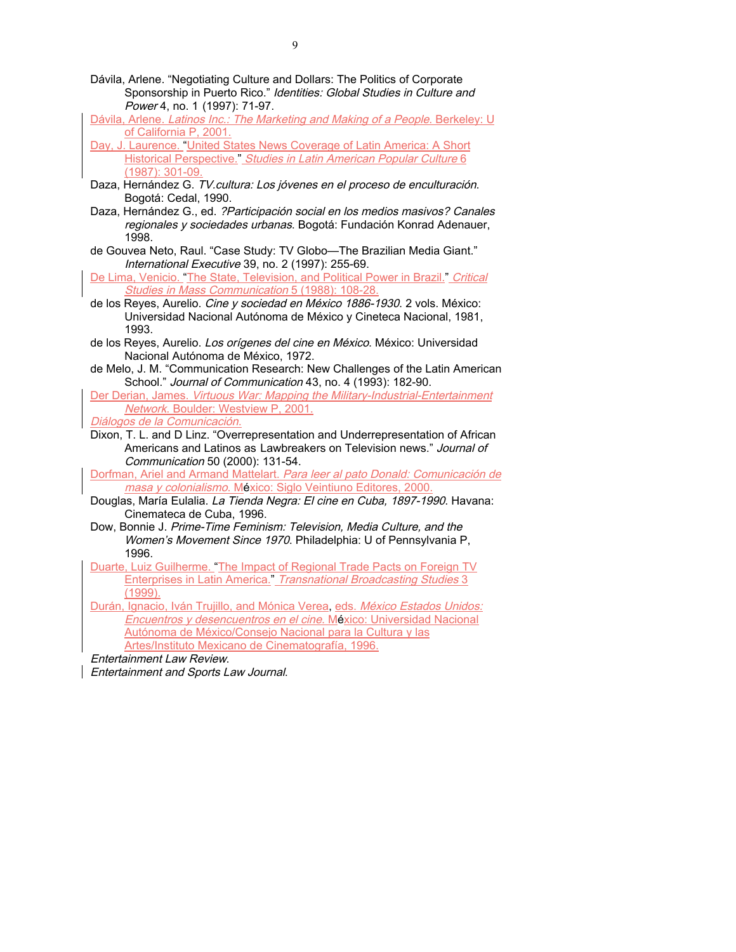- Dávila, Arlene. "Negotiating Culture and Dollars: The Politics of Corporate Sponsorship in Puerto Rico." Identities: Global Studies in Culture and Power 4, no. 1 (1997): 71-97.
- Dávila, Arlene. Latinos Inc.: The Marketing and Making of a People. Berkeley: U of California P, 2001.
- Day, J. Laurence. "United States News Coverage of Latin America: A Short Historical Perspective." Studies in Latin American Popular Culture 6 (1987): 301-09.
- Daza, Hernández G. TV. cultura: Los jóvenes en el proceso de enculturación. Bogotá: Cedal, 1990.
- Daza, Hernández G., ed. ?Participación social en los medios masivos? Canales regionales y sociedades urbanas. Bogotá: Fundación Konrad Adenauer, 1998.
- de Gouvea Neto, Raul. "Case Study: TV Globo—The Brazilian Media Giant." International Executive 39, no. 2 (1997): 255-69.
- De Lima, Venicio. "The State, Television, and Political Power in Brazil." Critical Studies in Mass Communication 5 (1988): 108-28
- de los Reyes, Aurelio. Cine y sociedad en México 1886-1930. 2 vols. México: Universidad Nacional Autónoma de México y Cineteca Nacional, 1981, 1993.
- de los Reyes, Aurelio. Los orígenes del cine en México. México: Universidad Nacional Autónoma de México, 1972.
- de Melo, J. M. "Communication Research: New Challenges of the Latin American School." Journal of Communication 43, no. 4 (1993): 182-90.
- Der Derian, James. Virtuous War: Mapping the Military-Industrial-Entertainment Network. Boulder: Westview P, 2001.
- Diálogos de la Comunicación.
- Dixon, T. L. and D Linz. "Overrepresentation and Underrepresentation of African Americans and Latinos as Lawbreakers on Television news." Journal of Communication 50 (2000): 131-54.

Dorfman, Ariel and Armand Mattelart. Para leer al pato Donald: Comunicación de masa y colonialismo. México: Siglo Veintiuno Editores, 2000.

- Douglas, María Eulalia. La Tienda Negra: El cine en Cuba, 1897-1990. Havana: Cinemateca de Cuba, 1996.
- Dow, Bonnie J. Prime-Time Feminism: Television, Media Culture, and the Women's Movement Since 1970. Philadelphia: U of Pennsylvania P, 1996.

Duarte, Luiz Guilherme. "The Impact of Regional Trade Pacts on Foreign TV Enterprises in Latin America." Transnational Broadcasting Studies 3 (1999).

Durán, Ignacio, Iván Trujillo, and Mónica Verea, eds. México Estados Unidos: Encuentros y desencuentros en el cine. México: Universidad Nacional Autónoma de México/Consejo Nacional para la Cultura y las Artes/Instituto Mexicano de Cinematografía, 1996.

Entertainment Law Review.

Entertainment and Sports Law Journal.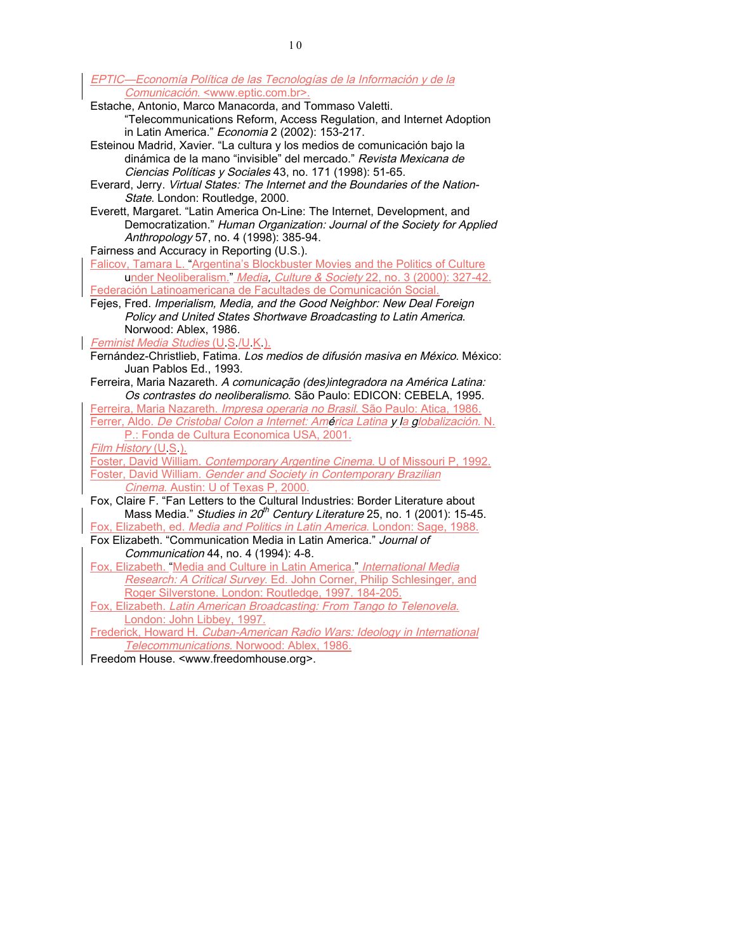EPTIC—Economía Política de las Tecnologías de la Información y de la Comunicación. <www.eptic.com.br>.

- Estache, Antonio, Marco Manacorda, and Tommaso Valetti. "Telecommunications Reform, Access Regulation, and Internet Adoption in Latin America." Economia 2 (2002): 153-217.
- Esteinou Madrid, Xavier. "La cultura y los medios de comunicación bajo la dinámica de la mano "invisible" del mercado." Revista Mexicana de Ciencias Políticas y Sociales 43, no. 171 (1998): 51-65.
- Everard, Jerry. Virtual States: The Internet and the Boundaries of the Nation-State. London: Routledge, 2000.
- Everett, Margaret. "Latin America On-Line: The Internet, Development, and Democratization." Human Organization: Journal of the Society for Applied Anthropology 57, no. 4 (1998): 385-94.

Fairness and Accuracy in Reporting (U.S.).

Falicov, Tamara L. "Argentina's Blockbuster Movies and the Politics of Culture under Neoliberalism." Media, Culture & Society 22, no. 3 (2000): 327-42. Federación Latinoamericana de Facultades de Comunicación Social.

Fejes, Fred. Imperialism, Media, and the Good Neighbor: New Deal Foreign Policy and United States Shortwave Broadcasting to Latin America. Norwood: Ablex, 1986.

Feminist Media Studies (U.S./U.K.).

- Fernández-Christlieb, Fatima. Los medios de difusión masiva en México. México: Juan Pablos Ed., 1993.
- Ferreira, Maria Nazareth. A comunicação (des)integradora na América Latina: Os contrastes do neoliberalismo. São Paulo: EDICON: CEBELA, 1995.

Ferreira, Maria Nazareth. *Impresa operaria no Brasil*. São Paulo: Atica, 1986. Ferrer, Aldo. De Cristobal Colon a Internet: América Latina y la globalización. N. P.: Fonda de Cultura Economica USA, 2001.

Film History (U.S.).

Foster, David William. Contemporary Argentine Cinema. U of Missouri P, 1992.

**Foster, David William. Gender and Society in Contemporary Brazilian** Cinema. Austin: U of Texas P, 2000.

- Fox, Claire F. "Fan Letters to the Cultural Industries: Border Literature about Mass Media." *Studies in 20<sup>th</sup> Century Literature* 25, no. 1 (2001): 15-45. Fox, Elizabeth, ed. Media and Politics in Latin America. London: Sage, 1988.
- Fox Elizabeth. "Communication Media in Latin America." Journal of Communication 44, no. 4 (1994): 4-8.
- Fox, Elizabeth. "Media and Culture in Latin America." International Media Research: A Critical Survey. Ed. John Corner, Philip Schlesinger, and Roger Silverstone. London: Routledge, 1997. 184-205.

Fox, Elizabeth. Latin American Broadcasting: From Tango to Telenovela. London: John Libbey, 1997.

Frederick, Howard H. Cuban-American Radio Wars: Ideology in International Telecommunications. Norwood: Ablex, 1986.

Freedom House. <www.freedomhouse.org>.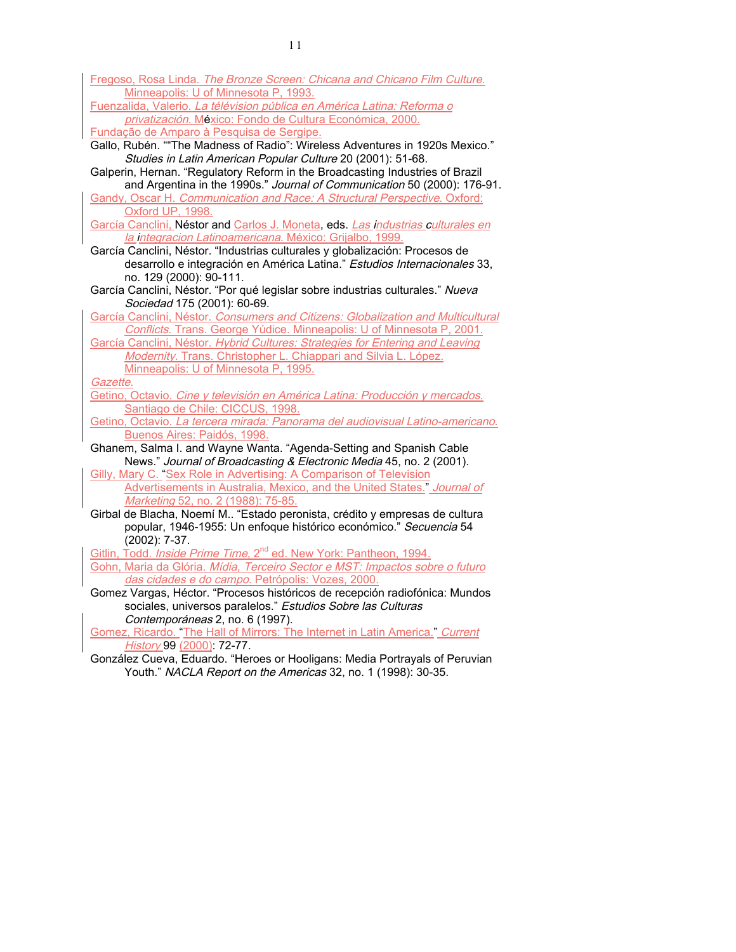| Fregoso, Rosa Linda. The Bronze Screen: Chicana and Chicano Film Culture.                          |
|----------------------------------------------------------------------------------------------------|
| Minneapolis: U of Minnesota P, 1993.                                                               |
| Fuenzalida, Valerio. La télévision pública en América Latina: Reforma o                            |
| privatización. México: Fondo de Cultura Económica, 2000.                                           |
| Fundação de Amparo à Pesquisa de Sergipe.                                                          |
| Gallo, Rubén. ""The Madness of Radio": Wireless Adventures in 1920s Mexico."                       |
| Studies in Latin American Popular Culture 20 (2001): 51-68.                                        |
| Galperin, Hernan. "Regulatory Reform in the Broadcasting Industries of Brazil                      |
| and Argentina in the 1990s." Journal of Communication 50 (2000): 176-91.                           |
| Gandy, Oscar H. Communication and Race: A Structural Perspective. Oxford:                          |
| Oxford UP, 1998.                                                                                   |
| García Canclini, Néstor and Carlos J. Moneta, eds. Las industrias culturales en                    |
| la integracion Latinoamericana. México: Grijalbo, 1999.                                            |
| García Canclini, Néstor. "Industrias culturales y globalización: Procesos de                       |
| desarrollo e integración en América Latina." Estudios Internacionales 33,                          |
| no. 129 (2000): 90-111.                                                                            |
| García Canclini, Néstor. "Por qué legislar sobre industrias culturales." Nueva                     |
| Sociedad 175 (2001): 60-69.                                                                        |
| García Canclini, Néstor. Consumers and Citizens: Globalization and Multicultural                   |
| Conflicts. Trans. George Yúdice. Minneapolis: U of Minnesota P, 2001.                              |
| García Canclini, Néstor. Hybrid Cultures: Strategies for Entering and Leaving                      |
| Modernity. Trans. Christopher L. Chiappari and Silvia L. López.                                    |
| Minneapolis: U of Minnesota P, 1995.                                                               |
| Gazette.                                                                                           |
| Getino, Octavio. Cine y televisión en América Latina: Producción y mercados.                       |
| Santiago de Chile: CICCUS, 1998.                                                                   |
| Getino, Octavio. La tercera mirada: Panorama del audiovisual Latino-americano.                     |
| Buenos Aires: Paidós, 1998.<br>Ghanem, Salma I. and Wayne Wanta. "Agenda-Setting and Spanish Cable |
| News." Journal of Broadcasting & Electronic Media 45, no. 2 (2001).                                |
| Gilly, Mary C. "Sex Role in Advertising: A Comparison of Television                                |
| Advertisements in Australia, Mexico, and the United States." Journal of                            |
| Marketing 52, no. 2 (1988): 75-85.                                                                 |
| Girbal de Blacha, Noemí M "Estado peronista, crédito y empresas de cultura                         |
| popular, 1946-1955: Un enfoque histórico económico." Secuencia 54                                  |
| $(2002): 7-37.$                                                                                    |
| Gitlin, Todd. Inside Prime Time, 2 <sup>nd</sup> ed. New York: Pantheon, 1994.                     |
| Gohn, Maria da Glória. Mídia, Terceiro Sector e MST: Impactos sobre o futuro                       |
| das cidades e do campo. Petrópolis: Vozes, 2000.                                                   |
| Gomez Vargas, Héctor. "Procesos históricos de recepción radiofónica: Mundos                        |
| sociales, universos paralelos." Estudios Sobre las Culturas                                        |
| Contemporáneas 2, no. 6 (1997).                                                                    |
| Gomez, Ricardo. "The Hall of Mirrors: The Internet in Latin America." Current                      |
| History 99 (2000): 72-77.                                                                          |

González Cueva, Eduardo. "Heroes or Hooligans: Media Portrayals of Peruvian Youth." NACLA Report on the Americas 32, no. 1 (1998): 30-35.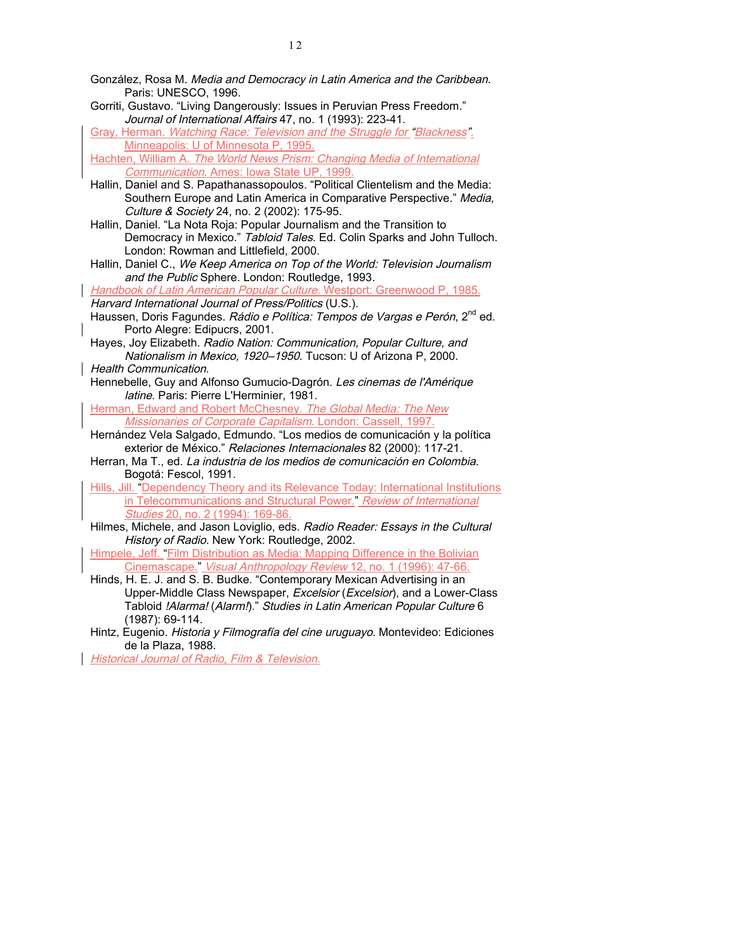- González, Rosa M. Media and Democracy in Latin America and the Caribbean. Paris: UNESCO, 1996.
- Gorriti, Gustavo. "Living Dangerously: Issues in Peruvian Press Freedom." Journal of International Affairs 47, no. 1 (1993): 223-41.
- Gray, Herman. Watching Race: Television and the Struggle for "Blackness". Minneapolis: U of Minnesota P, 1995.

Hachten, William A. The World News Prism: Changing Media of International Communication. Ames: Iowa State UP, 1999.

- Hallin, Daniel and S. Papathanassopoulos. "Political Clientelism and the Media: Southern Europe and Latin America in Comparative Perspective." Media, Culture & Society 24, no. 2 (2002): 175-95.
- Hallin, Daniel. "La Nota Roja: Popular Journalism and the Transition to Democracy in Mexico." Tabloid Tales. Ed. Colin Sparks and John Tulloch. London: Rowman and Littlefield, 2000.
- Hallin, Daniel C., We Keep America on Top of the World: Television Journalism and the Public Sphere. London: Routledge, 1993.

Handbook of Latin American Popular Culture. Westport: Greenwood P, 1985. Harvard International Journal of Press/Politics (U.S.).

- Haussen, Doris Fagundes. Rádio e Política: Tempos de Vargas e Perón, 2<sup>nd</sup> ed. Porto Alegre: Edipucrs, 2001.
- Hayes, Joy Elizabeth. Radio Nation: Communication, Popular Culture, and Nationalism in Mexico, 1920–1950. Tucson: U of Arizona P, 2000.

Health Communication.

- Hennebelle, Guy and Alfonso Gumucio-Dagrón. Les cinemas de l'Amérique latine. Paris: Pierre L'Herminier, 1981.
- Herman, Edward and Robert McChesney. The Global Media: The New Missionaries of Corporate Capitalism. London: Cassell, 1997.
- Hernández Vela Salgado, Edmundo. "Los medios de comunicación y la política exterior de México." Relaciones Internacionales 82 (2000): 117-21.
- Herran, Ma T., ed. La industria de los medios de comunicación en Colombia. Bogotá: Fescol, 1991.
- Hills, Jill. "Dependency Theory and its Relevance Today: International Institutions in Telecommunications and Structural Power." Review of International Studies 20, no. 2 (1994): 169-86.
- Hilmes, Michele, and Jason Loviglio, eds. Radio Reader: Essays in the Cultural History of Radio. New York: Routledge, 2002.

Himpele, Jeff. "Film Distribution as Media: Mapping Difference in the Bolivian Cinemascape." Visual Anthropology Review 12, no. 1 (1996): 47-66.

- Hinds, H. E. J. and S. B. Budke. "Contemporary Mexican Advertising in an Upper-Middle Class Newspaper, Excelsior (Excelsior), and a Lower-Class Tabloid !Alarma! (Alarm!)." Studies in Latin American Popular Culture 6 (1987): 69-114.
- Hintz, Eugenio. Historia y Filmografía del cine uruguayo. Montevideo: Ediciones de la Plaza, 1988.

Historical Journal of Radio, Film & Television.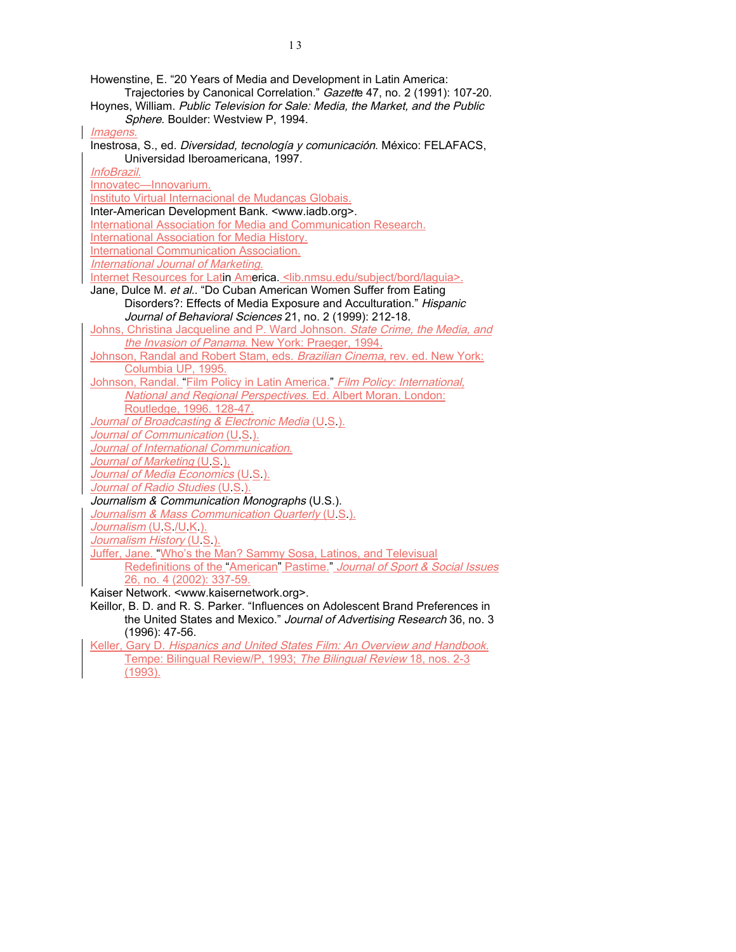Howenstine, E. "20 Years of Media and Development in Latin America: Trajectories by Canonical Correlation." Gazette 47, no. 2 (1991): 107-20. Hoynes, William. Public Television for Sale: Media, the Market, and the Public Sphere. Boulder: Westview P, 1994. Imagens. Inestrosa, S., ed. Diversidad, tecnología y comunicación. México: FELAFACS, Universidad Iberoamericana, 1997. InfoBrazil. Innovatec—Innovarium. Instituto Virtual Internacional de Mudanças Globais. Inter-American Development Bank. <www.iadb.org>. International Association for Media and Communication Research. International Association for Media History. International Communication Association. International Journal of Marketing. Internet Resources for Latin America. <lib.nmsu.edu/subject/bord/laguia>. Jane, Dulce M. et al.. "Do Cuban American Women Suffer from Eating Disorders?: Effects of Media Exposure and Acculturation." Hispanic Journal of Behavioral Sciences 21, no. 2 (1999): 212-18. Johns, Christina Jacqueline and P. Ward Johnson. State Crime, the Media, and the Invasion of Panama. New York: Praeger, 1994. Johnson, Randal and Robert Stam, eds. Brazilian Cinema, rev. ed. New York: Columbia UP, 1995. Johnson, Randal. "Film Policy in Latin America." Film Policy: International. National and Regional Perspectives. Ed. Albert Moran. London: Routledge, 1996. 128-47. Journal of Broadcasting & Electronic Media (U.S.). Journal of Communication (U.S.). Journal of International Communication. Journal of Marketing (U.S.). Journal of Media Economics (U.S.). Journal of Radio Studies (U.S.). Journalism & Communication Monographs (U.S.). Journalism & Mass Communication Quarterly (U.S.). Journalism (U.S./U.K.). Journalism History (U.S.). Juffer, Jane. "Who's the Man? Sammy Sosa, Latinos, and Televisual Redefinitions of the "American" Pastime." Journal of Sport & Social Issues 26, no. 4 (2002): 337-59. Kaiser Network. <www.kaisernetwork.org>. Keillor, B. D. and R. S. Parker. "Influences on Adolescent Brand Preferences in the United States and Mexico." Journal of Advertising Research 36, no. 3 (1996): 47-56. Keller, Gary D. Hispanics and United States Film: An Overview and Handbook. Tempe: Bilingual Review/P, 1993; The Bilingual Review 18, nos. 2-3 (1993).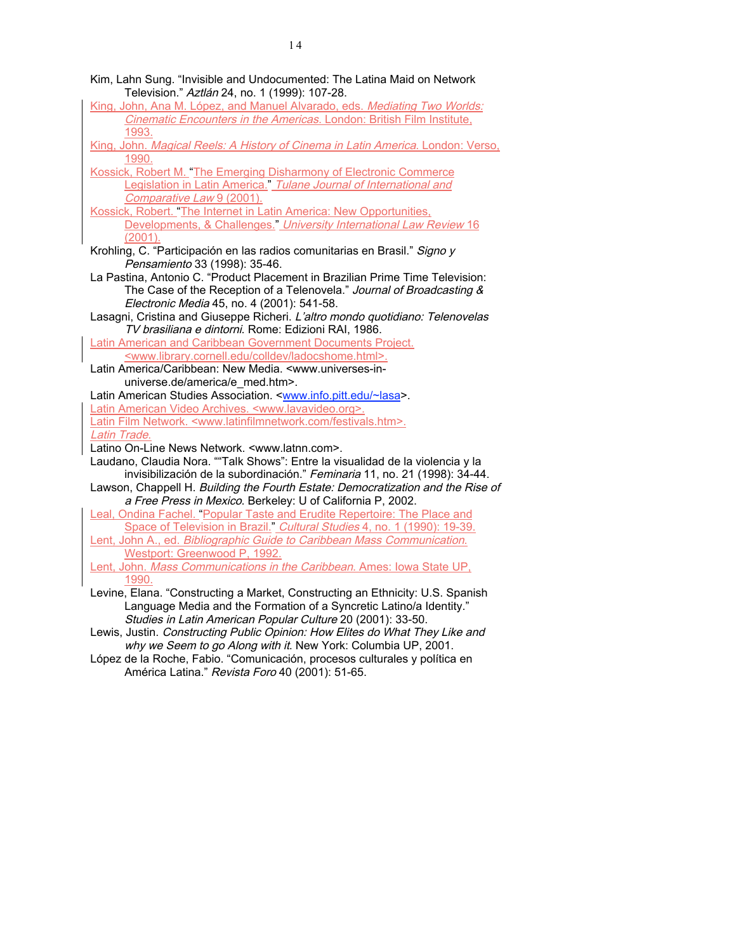- Kim, Lahn Sung. "Invisible and Undocumented: The Latina Maid on Network Television." Aztlán 24, no. 1 (1999): 107-28.
- King, John, Ana M. López, and Manuel Alvarado, eds. Mediating Two Worlds: Cinematic Encounters in the Americas. London: British Film Institute, 1993.
- King, John. Magical Reels: A History of Cinema in Latin America. London: Verso, 1990.
- Kossick, Robert M. "The Emerging Disharmony of Electronic Commerce Legislation in Latin America." Tulane Journal of International and Comparative Law 9 (2001).
- Kossick, Robert. "The Internet in Latin America: New Opportunities, Developments, & Challenges." University International Law Review 16 (2001).
- Krohling, C. "Participación en las radios comunitarias en Brasil." Signo y Pensamiento 33 (1998): 35-46.
- La Pastina, Antonio C. "Product Placement in Brazilian Prime Time Television: The Case of the Reception of a Telenovela." Journal of Broadcasting & Electronic Media 45, no. 4 (2001): 541-58.
- Lasagni, Cristina and Giuseppe Richeri. L'altro mondo quotidiano: Telenovelas TV brasiliana e dintorni. Rome: Edizioni RAI, 1986.
- Latin American and Caribbean Government Documents Project. <www.library.cornell.edu/colldev/ladocshome.html>.
- Latin America/Caribbean: New Media. <www.universes-inuniverse.de/america/e\_med.htm>.
- Latin American Studies Association. <www.info.pitt.edu/~lasa>. Latin American Video Archives. <www.lavavideo.org>.
- Latin Film Network. <www.latinfilmnetwork.com/festivals.htm>. Latin Trade.
- Latino On-Line News Network. <www.latnn.com>.
- Laudano, Claudia Nora. ""Talk Shows": Entre la visualidad de la violencia y la invisibilización de la subordinación." Feminaria 11, no. 21 (1998): 34-44.
- Lawson, Chappell H. Building the Fourth Estate: Democratization and the Rise of a Free Press in Mexico. Berkeley: U of California P, 2002.
- Leal, Ondina Fachel. "Popular Taste and Erudite Repertoire: The Place and Space of Television in Brazil." Cultural Studies 4, no. 1 (1990): 19-39.
- Lent, John A., ed. Bibliographic Guide to Caribbean Mass Communication. Westport: Greenwood P, 1992.
- Lent, John. Mass Communications in the Caribbean. Ames: Iowa State UP, 1990.
- Levine, Elana. "Constructing a Market, Constructing an Ethnicity: U.S. Spanish Language Media and the Formation of a Syncretic Latino/a Identity." Studies in Latin American Popular Culture 20 (2001): 33-50.
- Lewis, Justin. Constructing Public Opinion: How Elites do What They Like and why we Seem to go Along with it. New York: Columbia UP, 2001.
- López de la Roche, Fabio. "Comunicación, procesos culturales y política en América Latina." Revista Foro 40 (2001): 51-65.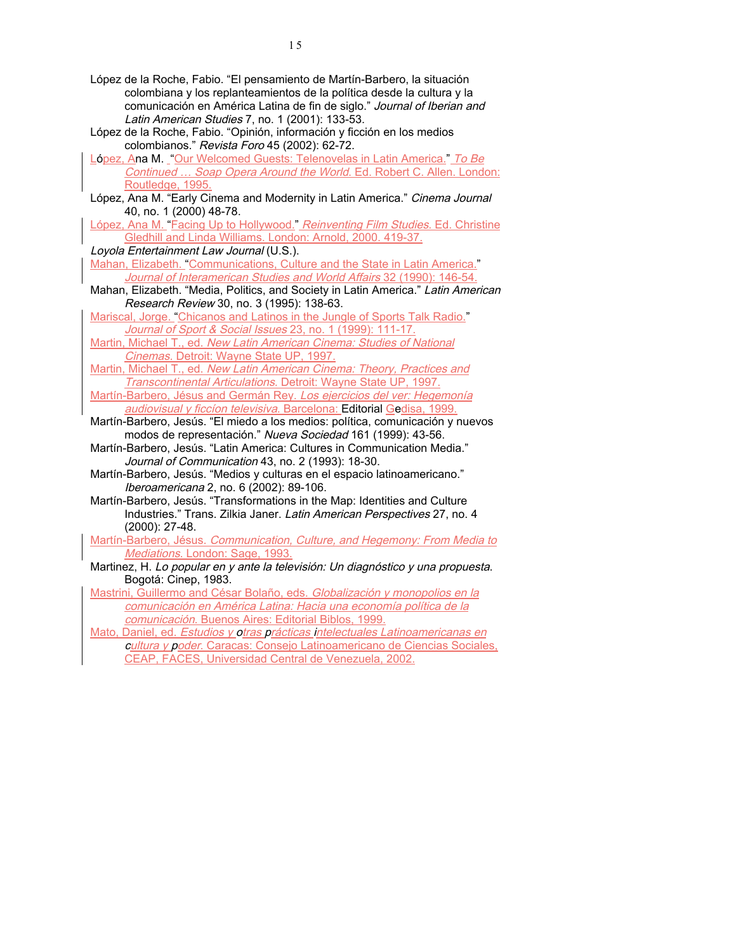- López de la Roche, Fabio. "El pensamiento de Martín-Barbero, la situación colombiana y los replanteamientos de la política desde la cultura y la comunicación en América Latina de fin de siglo." Journal of Iberian and Latin American Studies 7, no. 1 (2001): 133-53.
- López de la Roche, Fabio. "Opinión, información y ficción en los medios colombianos." Revista Foro 45 (2002): 62-72.
- López, Ana M. "Our Welcomed Guests: Telenovelas in Latin America." To Be Continued … Soap Opera Around the World. Ed. Robert C. Allen. London: Routledge, 1995.
- López, Ana M. "Early Cinema and Modernity in Latin America." Cinema Journal 40, no. 1 (2000) 48-78.
- López, Ana M. "Facing Up to Hollywood." Reinventing Film Studies. Ed. Christine Gledhill and Linda Williams. London: Arnold, 2000. 419-37.
- Loyola Entertainment Law Journal (U.S.).
- Mahan, Elizabeth. "Communications, Culture and the State in Latin America." Journal of Interamerican Studies and World Affairs 32 (1990): 146-54.
- Mahan, Elizabeth. "Media, Politics, and Society in Latin America." Latin American Research Review 30, no. 3 (1995): 138-63.
- Mariscal, Jorge. "Chicanos and Latinos in the Jungle of Sports Talk Radio." Journal of Sport & Social Issues 23, no. 1 (1999): 111-17.
- Martin, Michael T., ed. New Latin American Cinema: Studies of National Cinemas. Detroit: Wayne State UP, 1997.
- Martin, Michael T., ed. New Latin American Cinema: Theory, Practices and Transcontinental Articulations. Detroit: Wayne State UP, 1997.
- Martín-Barbero, Jésus and Germán Rey. Los ejercicios del ver: Hegemonía audiovisual y ficcíon televisiva. Barcelona: Editorial Gedisa, 1999.
- Martín-Barbero, Jesús. "El miedo a los medios: política, comunicación y nuevos modos de representación." Nueva Sociedad 161 (1999): 43-56.
- Martín-Barbero, Jesús. "Latin America: Cultures in Communication Media." Journal of Communication 43, no. 2 (1993): 18-30.
- Martín-Barbero, Jesús. "Medios y culturas en el espacio latinoamericano." Iberoamericana 2, no. 6 (2002): 89-106.
- Martín-Barbero, Jesús. "Transformations in the Map: Identities and Culture Industries." Trans. Zilkia Janer. Latin American Perspectives 27, no. 4 (2000): 27-48.
- Martín-Barbero, Jésus. Communication, Culture, and Hegemony: From Media to Mediations. London: Sage, 1993.
- Martinez, H. Lo popular en y ante la televisión: Un diagnóstico y una propuesta. Bogotá: Cinep, 1983.
- Mastrini, Guillermo and César Bolaño, eds. Globalización y monopolios en la comunicación en América Latina: Hacia una economía política de la comunicación. Buenos Aires: Editorial Biblos, 1999.
- Mato, Daniel, ed. Estudios y otras prácticas intelectuales Latinoamericanas en cultura y poder. Caracas: Consejo Latinoamericano de Ciencias Sociales, CEAP, FACES, Universidad Central de Venezuela, 2002.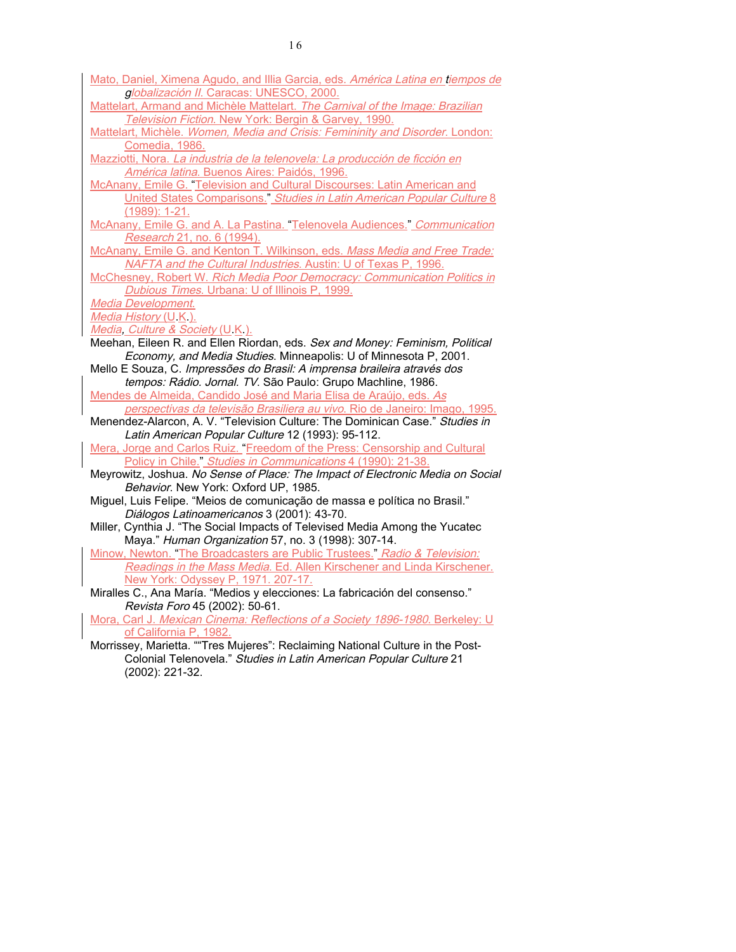- Mato, Daniel, Ximena Agudo, and Illia Garcia, eds. América Latina en tiempos de globalización II. Caracas: UNESCO, 2000.
- Mattelart, Armand and Michèle Mattelart. The Carnival of the Image: Brazilian Television Fiction. New York: Bergin & Garvey, 1990.
- Mattelart, Michèle. Women, Media and Crisis: Femininity and Disorder. London: Comedia, 1986.
- Mazziotti, Nora. La industria de la telenovela: La producción de ficción en América latina. Buenos Aires: Paidós, 1996.
- McAnany, Emile G. "Television and Cultural Discourses: Latin American and United States Comparisons." Studies in Latin American Popular Culture 8 (1989): 1-21.
- McAnany, Emile G. and A. La Pastina. "Telenovela Audiences." Communication Research 21, no. 6 (1994).
- McAnany, Emile G. and Kenton T. Wilkinson, eds. Mass Media and Free Trade: NAFTA and the Cultural Industries. Austin: U of Texas P, 1996.
- McChesney, Robert W. Rich Media Poor Democracy: Communication Politics in Dubious Times. Urbana: U of Illinois P, 1999.

Media Development.

Media History (U.K.).

- Media, Culture & Society (U.K.).
- Meehan, Eileen R. and Ellen Riordan, eds. Sex and Money: Feminism, Political Economy, and Media Studies. Minneapolis: U of Minnesota P, 2001.
- Mello E Souza, C. Impressões do Brasil: A imprensa braileira através dos tempos: Rádio. Jornal. TV. São Paulo: Grupo Machline, 1986.
- Mendes de Almeida, Candido José and Maria Elisa de Araújo, eds. As perspectivas da televisão Brasiliera au vivo. Rio de Janeiro: Imago, 1995.
- Menendez-Alarcon, A. V. "Television Culture: The Dominican Case." Studies in Latin American Popular Culture 12 (1993): 95-112.
- Mera, Jorge and Carlos Ruiz. "Freedom of the Press: Censorship and Cultural Policy in Chile." Studies in Communications 4 (1990): 21-38.
- Meyrowitz, Joshua. No Sense of Place: The Impact of Electronic Media on Social Behavior. New York: Oxford UP, 1985.
- Miguel, Luis Felipe. "Meios de comunicação de massa e política no Brasil." Diálogos Latinoamericanos 3 (2001): 43-70.
- Miller, Cynthia J. "The Social Impacts of Televised Media Among the Yucatec Maya." Human Organization 57, no. 3 (1998): 307-14.
- Minow, Newton. "The Broadcasters are Public Trustees." Radio & Television: Readings in the Mass Media. Ed. Allen Kirschener and Linda Kirschener. New York: Odyssey P, 1971. 207-17.
- Miralles C., Ana María. "Medios y elecciones: La fabricación del consenso." Revista Foro 45 (2002): 50-61.

Mora, Carl J. Mexican Cinema: Reflections of a Society 1896-1980. Berkeley: U of California P, 1982.

Morrissey, Marietta. ""Tres Mujeres": Reclaiming National Culture in the Post-Colonial Telenovela." Studies in Latin American Popular Culture 21 (2002): 221-32.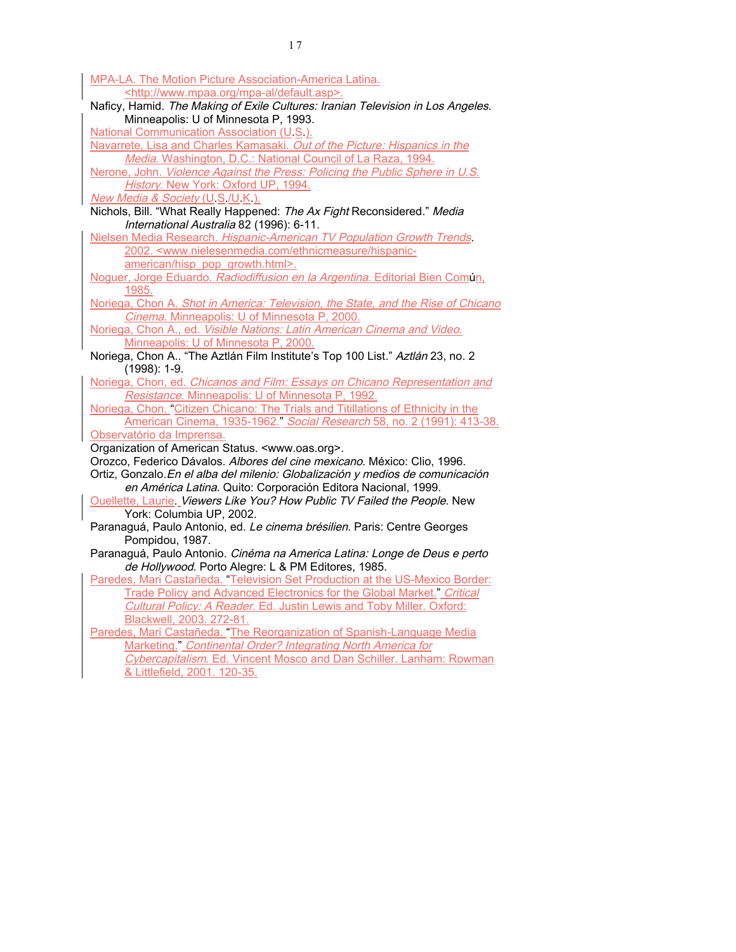| MPA-LA. The Motion Picture Association-America Latina.                                                                          |
|---------------------------------------------------------------------------------------------------------------------------------|
| <http: default.asp="" mpa-al="" www.mpaa.org="">.</http:>                                                                       |
| Naficy, Hamid. The Making of Exile Cultures: Iranian Television in Los Angeles.                                                 |
| Minneapolis: U of Minnesota P, 1993.                                                                                            |
| <b>National Communication Association (U.S.).</b>                                                                               |
| Navarrete, Lisa and Charles Kamasaki. Out of the Picture: Hispanics in the                                                      |
| Media. Washington, D.C.: National Council of La Raza, 1994.                                                                     |
| Nerone, John. Violence Against the Press: Policing the Public Sphere in U.S.                                                    |
| History. New York: Oxford UP, 1994.                                                                                             |
| New Media & Society (U.S./U.K.).                                                                                                |
| Nichols, Bill. "What Really Happened: The Ax Fight Reconsidered." Media                                                         |
| International Australia 82 (1996): 6-11.                                                                                        |
| Nielsen Media Research. Hispanic-American TV Population Growth Trends.                                                          |
| 2002. <www.nielesenmedia.com ethnicmeasure="" hispanic-<="" td=""></www.nielesenmedia.com>                                      |
| american/hisp pop growth.html>.                                                                                                 |
| Noguer, Jorge Eduardo. Radiodiffusion en la Argentina. Editorial Bien Común,                                                    |
| 1985.<br>Noriega, Chon A. Shot in America: Television, the State, and the Rise of Chicano                                       |
| Cinema. Minneapolis: U of Minnesota P, 2000.                                                                                    |
| Noriega, Chon A., ed. Visible Nations: Latin American Cinema and Video.                                                         |
| Minneapolis: U of Minnesota P, 2000.                                                                                            |
| Noriega, Chon A "The Aztlán Film Institute's Top 100 List." Aztlán 23, no. 2                                                    |
| $(1998): 1-9.$                                                                                                                  |
| Noriega, Chon, ed. Chicanos and Film: Essays on Chicano Representation and                                                      |
| Resistance. Minneapolis: U of Minnesota P, 1992.                                                                                |
| Noriega, Chon. "Citizen Chicano: The Trials and Titillations of Ethnicity in the                                                |
| American Cinema, 1935-1962." Social Research 58, no. 2 (1991): 413-38.                                                          |
| Observatório da Imprensa.                                                                                                       |
| Organization of American Status. <www.oas.org>.</www.oas.org>                                                                   |
| Orozco, Federico Dávalos. Albores del cine mexicano. México: Clio, 1996.                                                        |
| Ortiz, Gonzalo. En el alba del milenio: Globalización y medios de comunicación                                                  |
| en América Latina. Quito: Corporación Editora Nacional, 1999.                                                                   |
| Ouellette, Laurie. Viewers Like You? How Public TV Failed the People. New                                                       |
| York: Columbia UP, 2002.                                                                                                        |
| Paranaguá, Paulo Antonio, ed. Le cinema brésilien. Paris: Centre Georges                                                        |
| Pompidou, 1987.                                                                                                                 |
| Paranaguá, Paulo Antonio. Cinéma na America Latina: Longe de Deus e perto<br>de Hollywood. Porto Alegre: L & PM Editores, 1985. |
| Paredes, Mari Castañeda. "Television Set Production at the US-Mexico Border:                                                    |
| Trade Policy and Advanced Electronics for the Global Market." Critical                                                          |
| Cultural Policy: A Reader. Ed. Justin Lewis and Toby Miller. Oxford:                                                            |
| Blackwell, 2003. 272-81.                                                                                                        |
| Paredes, Mari Castañeda. "The Reorganization of Spanish-Language Media                                                          |
| Marketing." Continental Order? Integrating North America for                                                                    |
| Cybercapitalism. Ed. Vincent Mosco and Dan Schiller. Lanham: Rowman                                                             |
| & Littlefield, 2001. 120-35.                                                                                                    |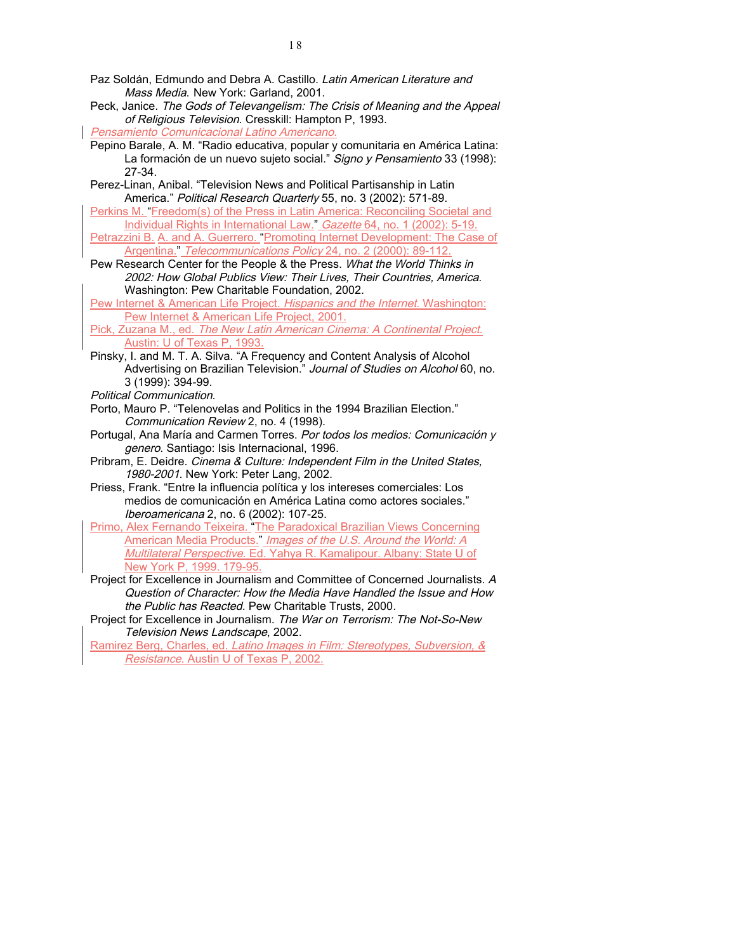- Paz Soldán, Edmundo and Debra A. Castillo. Latin American Literature and Mass Media. New York: Garland, 2001.
- Peck, Janice. The Gods of Televangelism: The Crisis of Meaning and the Appeal of Religious Television. Cresskill: Hampton P, 1993.
- Pensamiento Comunicacional Latino Americano.
- Pepino Barale, A. M. "Radio educativa, popular y comunitaria en América Latina: La formación de un nuevo sujeto social." Signo y Pensamiento 33 (1998): 27-34.
- Perez-Linan, Anibal. "Television News and Political Partisanship in Latin America." Political Research Quarterly 55, no. 3 (2002): 571-89.
- Perkins M. "Freedom(s) of the Press in Latin America: Reconciling Societal and Individual Rights in International Law." Gazette 64, no. 1 (2002): 5-19. Petrazzini B. A. and A. Guerrero. "Promoting Internet Development: The Case of Argentina." Telecommunications Policy 24, no. 2 (2000): 89-112.
- Pew Research Center for the People & the Press. What the World Thinks in 2002: How Global Publics View: Their Lives, Their Countries, America. Washington: Pew Charitable Foundation, 2002.
- Pew Internet & American Life Project. Hispanics and the Internet. Washington: Pew Internet & American Life Project, 2001.
- Pick, Zuzana M., ed. The New Latin American Cinema: A Continental Project. Austin: U of Texas P, 1993.
- Pinsky, I. and M. T. A. Silva. "A Frequency and Content Analysis of Alcohol Advertising on Brazilian Television." Journal of Studies on Alcohol 60, no. 3 (1999): 394-99.
- Political Communication.
- Porto, Mauro P. "Telenovelas and Politics in the 1994 Brazilian Election." Communication Review 2, no. 4 (1998).
- Portugal, Ana María and Carmen Torres. Por todos los medios: Comunicación y genero. Santiago: Isis Internacional, 1996.
- Pribram, E. Deidre. Cinema & Culture: Independent Film in the United States, 1980-2001. New York: Peter Lang, 2002.
- Priess, Frank. "Entre la influencia política y los intereses comerciales: Los medios de comunicación en América Latina como actores sociales." Iberoamericana 2, no. 6 (2002): 107-25.
- Primo, Alex Fernando Teixeira. "The Paradoxical Brazilian Views Concerning American Media Products." Images of the U.S. Around the World: A Multilateral Perspective. Ed. Yahya R. Kamalipour. Albany: State U of New York P, 1999. 179-95.
- Project for Excellence in Journalism and Committee of Concerned Journalists. A Question of Character: How the Media Have Handled the Issue and How the Public has Reacted. Pew Charitable Trusts, 2000.
- Project for Excellence in Journalism. The War on Terrorism: The Not-So-New Television News Landscape, 2002.
- Ramirez Berg, Charles, ed. Latino Images in Film: Stereotypes, Subversion, & Resistance. Austin U of Texas P, 2002.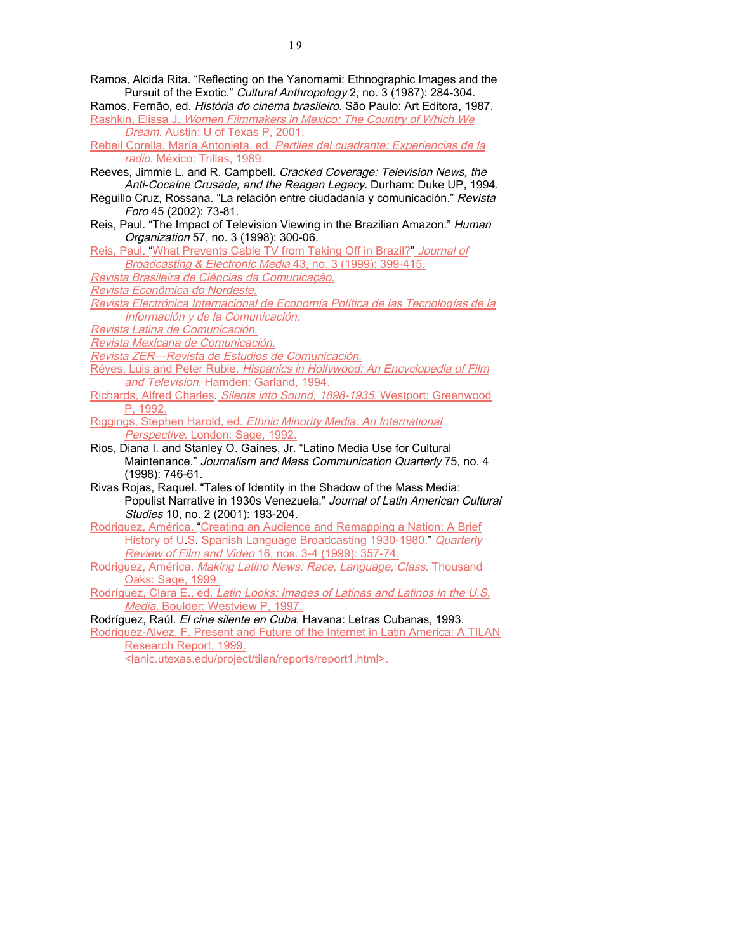- Ramos, Alcida Rita. "Reflecting on the Yanomami: Ethnographic Images and the Pursuit of the Exotic." Cultural Anthropology 2, no. 3 (1987): 284-304.
- Ramos, Fernão, ed. História do cinema brasileiro. São Paulo: Art Editora, 1987. Rashkin, Elissa J. Women Filmmakers in Mexico: The Country of Which We Dream. Austin: U of Texas P, 2001.
- Rebeil Corella, María Antonieta, ed. Pertiles del cuadrante: Experiencias de la radio. México: Trillas, 1989.
- Reeves, Jimmie L. and R. Campbell. Cracked Coverage: Television News, the Anti-Cocaine Crusade, and the Reagan Legacy. Durham: Duke UP, 1994.
- Reguillo Cruz, Rossana. "La relación entre ciudadanía y comunicación." Revista Foro 45 (2002): 73-81.
- Reis, Paul. "The Impact of Television Viewing in the Brazilian Amazon." Human Organization 57, no. 3 (1998): 300-06.
- Reis, Paul. "What Prevents Cable TV from Taking Off in Brazil?" Journal of Broadcasting & Electronic Media 43, no. 3 (1999): 399-415.
- Revista Brasileira de Ciências da Comunicação.
- Revista Econômica do Nordeste.
- Revista Electrónica Internacional de Economía Política de las Tecnologías de la Información y de la Comunicación.
- Revista Latina de Comunicación.
- Revista Mexicana de Comunicación.
- Revista ZER—Revista de Estudios de Comunicación.
- Réyes, Luis and Peter Rubie. Hispanics in Hollywood: An Encyclopedia of Film and Television. Hamden: Garland, 1994.
- Richards, Alfred Charles. Silents into Sound, 1898-1935. Westport: Greenwood P, 1992.
- Riggings, Stephen Harold, ed. Ethnic Minority Media: An International Perspective. London: Sage, 1992.
- Rios, Diana I. and Stanley O. Gaines, Jr. "Latino Media Use for Cultural Maintenance." Journalism and Mass Communication Quarterly 75, no. 4 (1998): 746-61.
- Rivas Rojas, Raquel. "Tales of Identity in the Shadow of the Mass Media: Populist Narrative in 1930s Venezuela." Journal of Latin American Cultural Studies 10, no. 2 (2001): 193-204.
- Rodriguez, América. "Creating an Audience and Remapping a Nation: A Brief History of U.S. Spanish Language Broadcasting 1930-1980." Quarterly Review of Film and Video 16, nos. 3-4 (1999): 357-74.
- Rodriguez, América. Making Latino News: Race, Language, Class. Thousand Oaks: Sage, 1999.
- Rodríguez, Clara E., ed. Latin Looks: Images of Latinas and Latinos in the U.S. Media. Boulder: Westview P, 1997.
- Rodríguez, Raúl. El cine silente en Cuba. Havana: Letras Cubanas, 1993.
- Rodriguez-Alvez, F. Present and Future of the Internet in Latin America: A TILAN Research Report, 1999.
	- <lanic.utexas.edu/project/tilan/reports/report1.html>.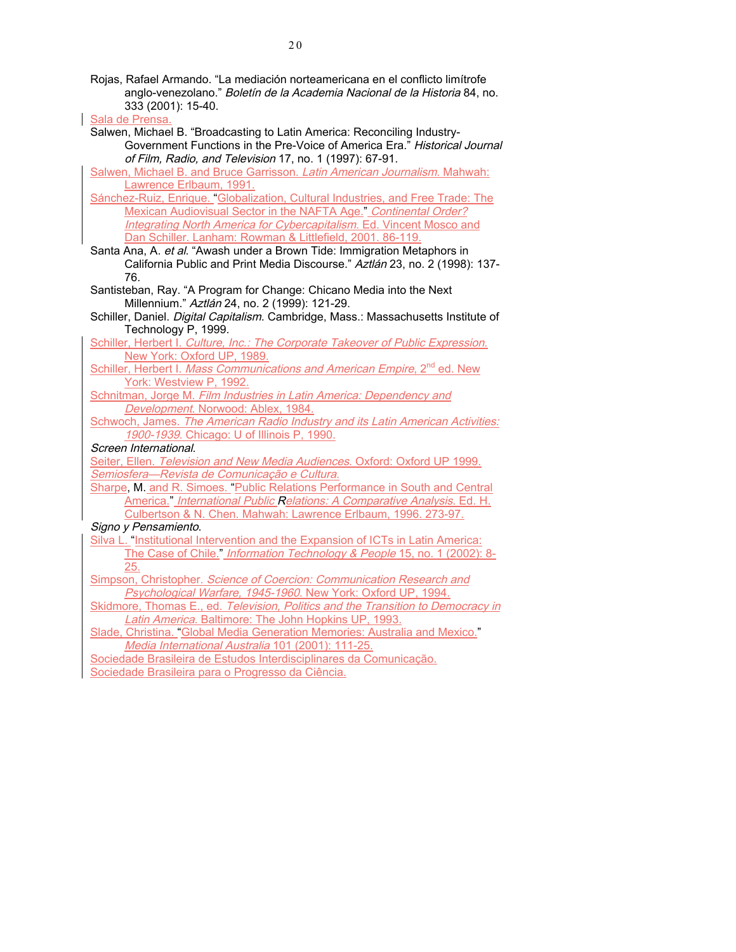| Rojas, Rafael Armando. "La mediación norteamericana en el conflicto limítrofe    |
|----------------------------------------------------------------------------------|
| anglo-venezolano." <i>Boletín de la Academia Nacional de la Historia</i> 84, no. |
| 333 (2001): 15-40.                                                               |

2 0

Sala de Prensa.

Salwen, Michael B. "Broadcasting to Latin America: Reconciling Industry-Government Functions in the Pre-Voice of America Era." Historical Journal of Film, Radio, and Television 17, no. 1 (1997): 67-91.

Salwen, Michael B. and Bruce Garrisson. Latin American Journalism. Mahwah: Lawrence Erlbaum, 1991.

Sánchez-Ruiz, Enrique. "Globalization, Cultural Industries, and Free Trade: The Mexican Audiovisual Sector in the NAFTA Age." Continental Order? Integrating North America for Cybercapitalism. Ed. Vincent Mosco and Dan Schiller. Lanham: Rowman & Littlefield, 2001. 86-119.

Santa Ana, A. et al. "Awash under a Brown Tide: Immigration Metaphors in California Public and Print Media Discourse." Aztlán 23, no. 2 (1998): 137-76.

Santisteban, Ray. "A Program for Change: Chicano Media into the Next Millennium." Aztlán 24, no. 2 (1999): 121-29.

Schiller, Daniel. Digital Capitalism. Cambridge, Mass.: Massachusetts Institute of Technology P, 1999.

Schiller, Herbert I. Culture, Inc.: The Corporate Takeover of Public Expression. New York: Oxford UP, 1989.

Schiller, Herbert I. Mass Communications and American Empire, 2<sup>nd</sup> ed. New York: Westview P, 1992.

Schnitman, Jorge M. Film Industries in Latin America: Dependency and Development. Norwood: Ablex, 1984.

Schwoch, James. The American Radio Industry and its Latin American Activities: 1900-1939. Chicago: U of Illinois P, 1990.

Screen International.

Seiter, Ellen. Television and New Media Audiences. Oxford: Oxford UP 1999. Semiosfera—Revista de Comunicação e Cultura.

Sharpe, M. and R. Simoes. "Public Relations Performance in South and Central America." International Public Relations: A Comparative Analysis. Ed. H. Culbertson & N. Chen. Mahwah: Lawrence Erlbaum, 1996. 273-97.

Signo y Pensamiento.

Silva L. "Institutional Intervention and the Expansion of ICTs in Latin America: The Case of Chile." Information Technology & People 15, no. 1 (2002): 8-25.

Simpson, Christopher. Science of Coercion: Communication Research and Psychological Warfare, 1945-1960. New York: Oxford UP, 1994.

Skidmore, Thomas E., ed. Television, Politics and the Transition to Democracy in Latin America. Baltimore: The John Hopkins UP, 1993.

Slade, Christina. "Global Media Generation Memories: Australia and Mexico." Media International Australia 101 (2001): 111-25.

Sociedade Brasileira de Estudos Interdisciplinares da Comunicação. Sociedade Brasileira para o Progresso da Ciência.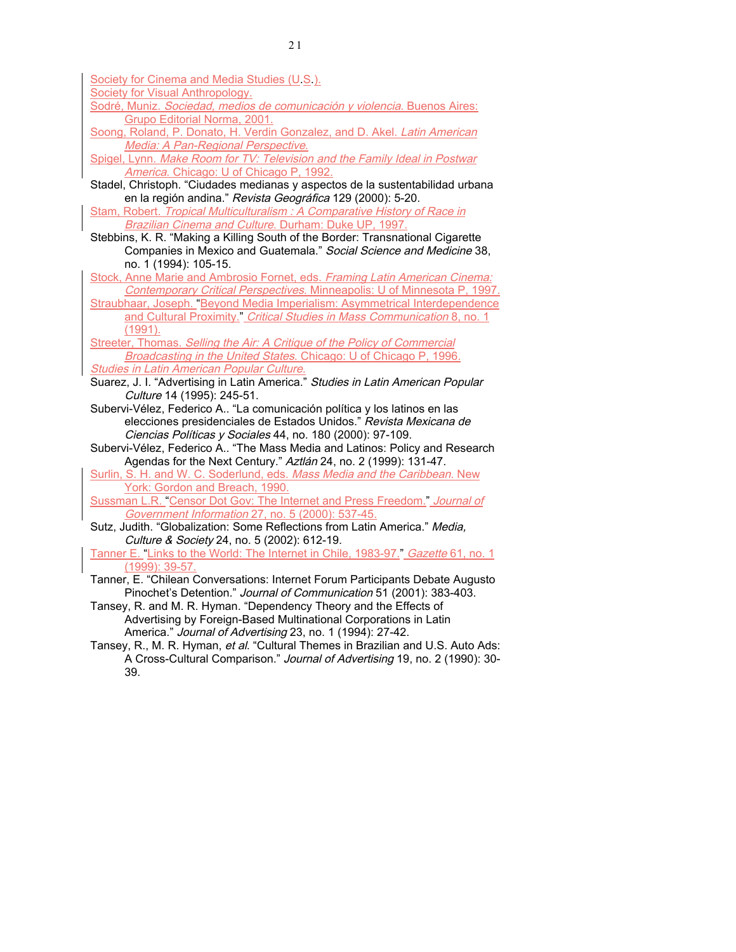Society for Cinema and Media Studies (U.S.).

Society for Visual Anthropology.

- Sodré, Muniz. Sociedad, medios de comunicación y violencia. Buenos Aires: Grupo Editorial Norma, 2001.
- Soong, Roland, P. Donato, H. Verdin Gonzalez, and D. Akel. Latin American Media: A Pan-Regional Perspective.

Spigel, Lynn. Make Room for TV: Television and the Family Ideal in Postwar America. Chicago: U of Chicago P, 1992.

- Stadel, Christoph. "Ciudades medianas y aspectos de la sustentabilidad urbana en la región andina." Revista Geográfica 129 (2000): 5-20.
- Stam, Robert. Tropical Multiculturalism : A Comparative History of Race in Brazilian Cinema and Culture. Durham: Duke UP, 1997.
- Stebbins, K. R. "Making a Killing South of the Border: Transnational Cigarette Companies in Mexico and Guatemala." Social Science and Medicine 38, no. 1 (1994): 105-15.

Stock, Anne Marie and Ambrosio Fornet, eds. Framing Latin American Cinema: Contemporary Critical Perspectives. Minneapolis: U of Minnesota P, 1997.

Straubhaar, Joseph. "Beyond Media Imperialism: Asymmetrical Interdependence and Cultural Proximity." Critical Studies in Mass Communication 8, no. 1 (1991).

Streeter, Thomas. Selling the Air: A Critique of the Policy of Commercial Broadcasting in the United States. Chicago: U of Chicago P, 1996. **Studies in Latin American Popular Culture.** 

Suarez, J. I. "Advertising in Latin America." Studies in Latin American Popular Culture 14 (1995): 245-51.

Subervi-Vélez, Federico A.. "La comunicación política y los latinos en las elecciones presidenciales de Estados Unidos." Revista Mexicana de Ciencias Políticas y Sociales 44, no. 180 (2000): 97-109.

Subervi-Vélez, Federico A.. "The Mass Media and Latinos: Policy and Research Agendas for the Next Century." Aztlán 24, no. 2 (1999): 131-47.

Surlin, S. H. and W. C. Soderlund, eds. Mass Media and the Caribbean. New York: Gordon and Breach, 1990.

Sussman L.R. "Censor Dot Gov: The Internet and Press Freedom." Journal of Government Information 27, no. 5 (2000): 537-45.

Sutz, Judith. "Globalization: Some Reflections from Latin America." Media. Culture & Society 24, no. 5 (2002): 612-19.

Tanner E. "Links to the World: The Internet in Chile, 1983-97." Gazette 61, no. 1 (1999): 39-57.

- Tanner, E. "Chilean Conversations: Internet Forum Participants Debate Augusto Pinochet's Detention." Journal of Communication 51 (2001): 383-403.
- Tansey, R. and M. R. Hyman. "Dependency Theory and the Effects of Advertising by Foreign-Based Multinational Corporations in Latin America." Journal of Advertising 23, no. 1 (1994): 27-42.
- Tansey, R., M. R. Hyman, et al. "Cultural Themes in Brazilian and U.S. Auto Ads: A Cross-Cultural Comparison." Journal of Advertising 19, no. 2 (1990): 30-39.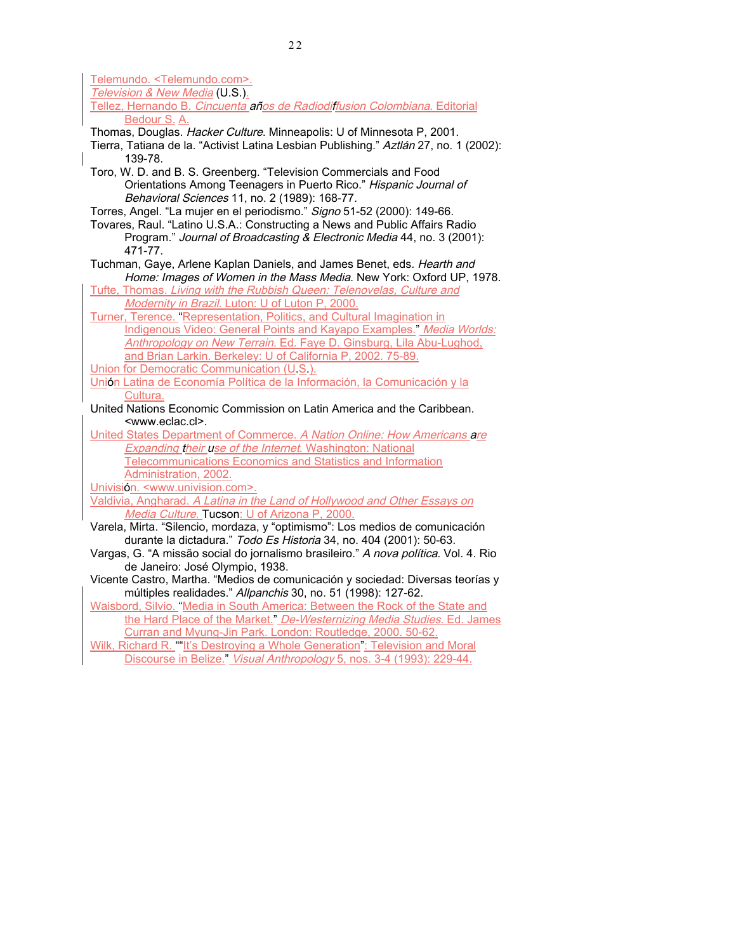Telemundo. <Telemundo.com>. Television & New Media (U.S.). Tellez, Hernando B. Cincuenta años de Radiodiffusion Colombiana. Editorial Bedour S. A. Thomas, Douglas. Hacker Culture. Minneapolis: U of Minnesota P, 2001. Tierra, Tatiana de la. "Activist Latina Lesbian Publishing." Aztlán 27, no. 1 (2002): 139-78. Toro, W. D. and B. S. Greenberg. "Television Commercials and Food Orientations Among Teenagers in Puerto Rico." Hispanic Journal of Behavioral Sciences 11, no. 2 (1989): 168-77. Torres, Angel. "La mujer en el periodismo." Signo 51-52 (2000): 149-66. Tovares, Raul. "Latino U.S.A.: Constructing a News and Public Affairs Radio Program." Journal of Broadcasting & Electronic Media 44, no. 3 (2001): 471-77. Tuchman, Gaye, Arlene Kaplan Daniels, and James Benet, eds. Hearth and Home: Images of Women in the Mass Media. New York: Oxford UP, 1978. Tufte, Thomas. Living with the Rubbish Queen: Telenovelas, Culture and Modernity in Brazil. Luton: U of Luton P, 2000. Turner, Terence. "Representation, Politics, and Cultural Imagination in Indigenous Video: General Points and Kayapo Examples." Media Worlds: Anthropology on New Terrain. Ed. Faye D. Ginsburg, Lila Abu-Lughod, and Brian Larkin. Berkeley: U of California P, 2002. 75-89. Union for Democratic Communication (U.S.). Unión Latina de Economía Política de la Información, la Comunicación y la Cultura. United Nations Economic Commission on Latin America and the Caribbean. <www.eclac.cl>. United States Department of Commerce. A Nation Online: How Americans are Expanding their use of the Internet. Washington: National Telecommunications Economics and Statistics and Information Administration, 2002. Univisión. <www.univision.com>. Valdivia, Angharad. A Latina in the Land of Hollywood and Other Essays on Media Culture. Tucson: U of Arizona P, 2000. Varela, Mirta. "Silencio, mordaza, y "optimismo": Los medios de comunicación durante la dictadura." Todo Es Historia 34, no. 404 (2001): 50-63. Vargas, G. "A missão social do jornalismo brasileiro." A nova política. Vol. 4. Rio de Janeiro: José Olympio, 1938. Vicente Castro, Martha. "Medios de comunicación y sociedad: Diversas teorías y múltiples realidades." Allpanchis 30, no. 51 (1998): 127-62. Waisbord, Silvio. "Media in South America: Between the Rock of the State and the Hard Place of the Market." De-Westernizing Media Studies. Ed. James

Curran and Myung-Jin Park. London: Routledge, 2000. 50-62.

Wilk, Richard R. ""It's Destroying a Whole Generation": Television and Moral Discourse in Belize." Visual Anthropology 5, nos. 3-4 (1993): 229-44.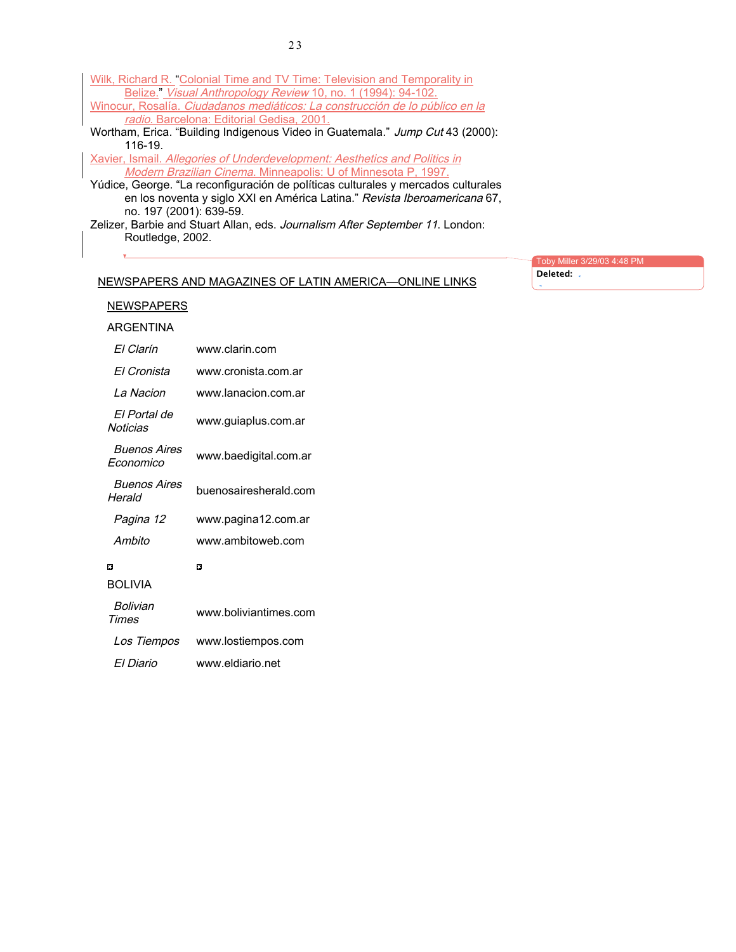| Wilk, Richard R. "Colonial Time and TV Time: Television and Temporality in                           |  |  |
|------------------------------------------------------------------------------------------------------|--|--|
| Belize." Visual Anthropology Review 10, no. 1 (1994): 94-102.                                        |  |  |
| Winocur, Rosalía. Ciudadanos mediáticos: La construcción de lo público en la                         |  |  |
| radio. Barcelona: Editorial Gedisa, 2001.                                                            |  |  |
| Wortham, Erica. "Building Indigenous Video in Guatemala." Jump Cut 43 (2000):                        |  |  |
| $116-19$                                                                                             |  |  |
| Xavier, Ismail. Allegories of Underdevelopment: Aesthetics and Politics in                           |  |  |
| Modern Brazilian Cinema. Minneapolis: U of Minnesota P, 1997.                                        |  |  |
| Yúdice, George. "La reconfiguración de políticas culturales y mercados culturales                    |  |  |
| en los noventa y siglo XXI en América Latina." Revista Iberoamericana 67,<br>no. 197 (2001): 639-59. |  |  |
|                                                                                                      |  |  |

Zelizer, Barbie and Stuart Allan, eds. Journalism After September 11. London: Routledge, 2002.

| Toby Miller 3/29/03 4:48 PM |
|-----------------------------|
| Deleted:                    |

## NEWSPAPERS AND MAGAZINES OF LATIN AMERICA—ONLINE LINKS

| ARGENTINA                               |                       |
|-----------------------------------------|-----------------------|
| FI Clarín                               | www.clarin.com        |
| FI Cronista                             | www.cronista.com.ar   |
| I a Nacion                              | www.lanacion.com.ar   |
| Fl Portal de<br>Noticias                | www.guiaplus.com.ar   |
| <i><b>Buenos Aires</b></i><br>Fconomico | www.baedigital.com.ar |
| <i><b>Buenos Aires</b></i><br>Herald    | buenosairesherald.com |
| Pagina 12                               | www.pagina12.com.ar   |
| Ambito                                  | www.ambitoweb.com     |
| п                                       | п                     |
| <b>BOI IVIA</b>                         |                       |
| <i>Bolivian</i><br><b>Times</b>         | www.boliviantimes.com |
| Los Tiempos                             | www.lostiempos.com    |
| FI Diario                               | www.eldiario.net      |

**NEWSPAPERS** 

 $\mathbf{v}$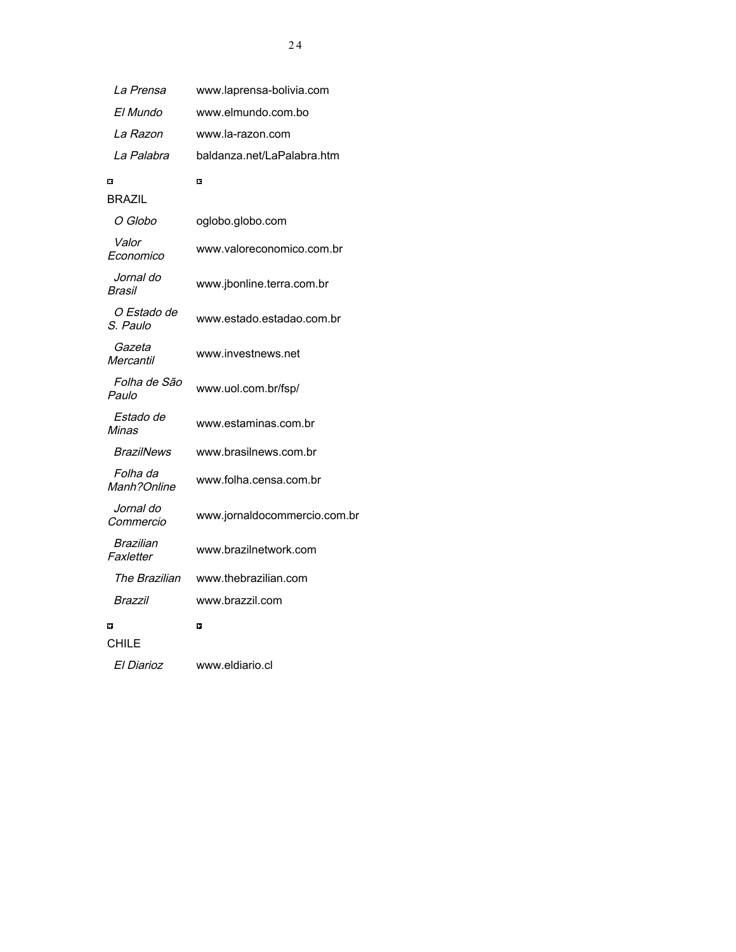| La Prensa               | www.laprensa-bolivia.com     |
|-------------------------|------------------------------|
| El Mundo                | www.elmundo.com.bo           |
| La Razon                | www.la-razon.com             |
| La Palabra              | baldanza.net/LaPalabra.htm   |
| ٥                       | $\Box$                       |
| BRAZIL                  |                              |
| O Globo                 | oglobo.globo.com             |
| Valor<br>Economico      | www.valoreconomico.com.br    |
| Jornal do<br>Brasil     | www.jbonline.terra.com.br    |
| O Estado de<br>S. Paulo | www.estado.estadao.com.br    |
| Gazeta<br>Mercantil     | www.investnews.net           |
| Folha de São<br>Paulo   | www.uol.com.br/fsp/          |
| Estado de<br>Minas      | www.estaminas.com.br         |
| BrazilNews              | www.brasilnews.com.br        |
| Folha da<br>Manh?Online | www.folha.censa.com.br       |
| Jornal do<br>Commercio  | www.jornaldocommercio.com.br |
| Brazilian<br>Faxletter  | www.brazilnetwork.com        |
| The Brazilian           | www.thebrazilian.com         |
| Brazzil                 | www.brazzil.com              |
| H                       | n                            |
| CHILE                   |                              |
| El Diarioz              | www.eldiario.cl              |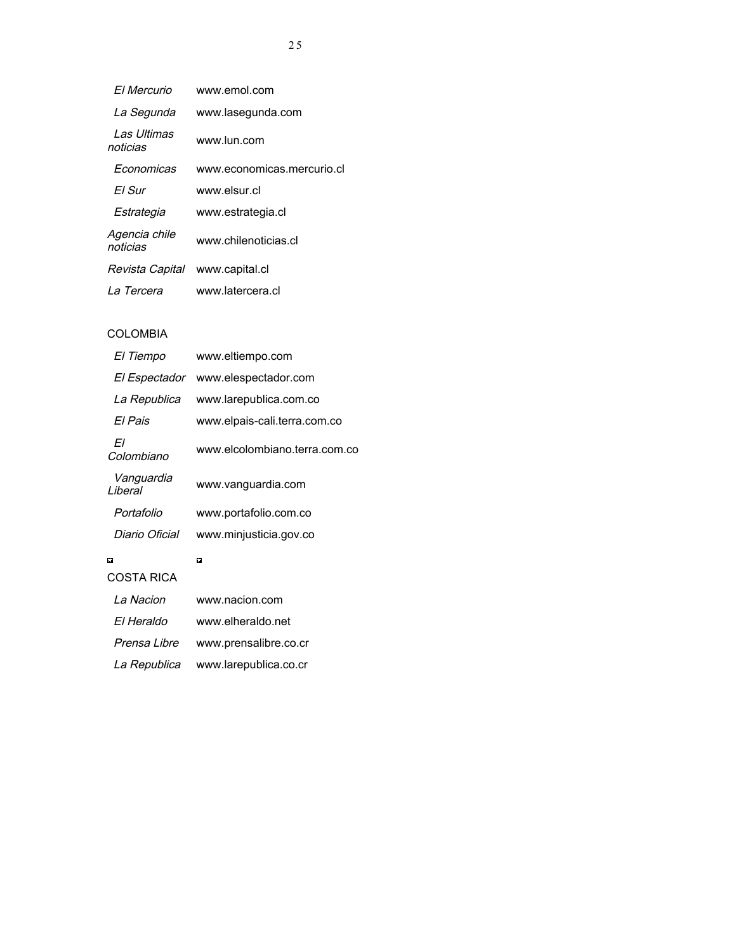| FI Mercurio               | www.emol.com               |
|---------------------------|----------------------------|
| La Segunda                | www.lasegunda.com          |
| I as Ultimas<br>noticias  | www.lun.com                |
| Fconomicas                | www.economicas.mercurio.cl |
| FI Sur                    | www.elsur.cl               |
| Estrategia                | www.estrategia.cl          |
| Agencia chile<br>noticias | www.chilenoticias.cl       |
| Revista Capital           | www.capital.cl             |
| La Tercera                | www.latercera.cl           |

## COLOMBIA

| El Tiempo              | www.eltiempo.com              |
|------------------------|-------------------------------|
| El Espectador          | www.elespectador.com          |
| La Republica           | www.larepublica.com.co        |
| FI Pais                | www.elpais-cali.terra.com.co  |
| Fl<br>Colombiano       | www.elcolombiano.terra.com.co |
| Vanguardia<br>I iberal | www.vanguardia.com            |
| Portafolio             | www.portafolio.com.co         |
| Diario Oficial         | www.minjusticia.gov.co        |
| п                      | п                             |
| COSTA RICA             |                               |
| La Nacion              | www.nacion.com                |
| FI Heraldo             | www.elheraldo.net             |
| Prensa Libre           | www.prensalibre.co.cr         |

La Republica www.larepublica.co.cr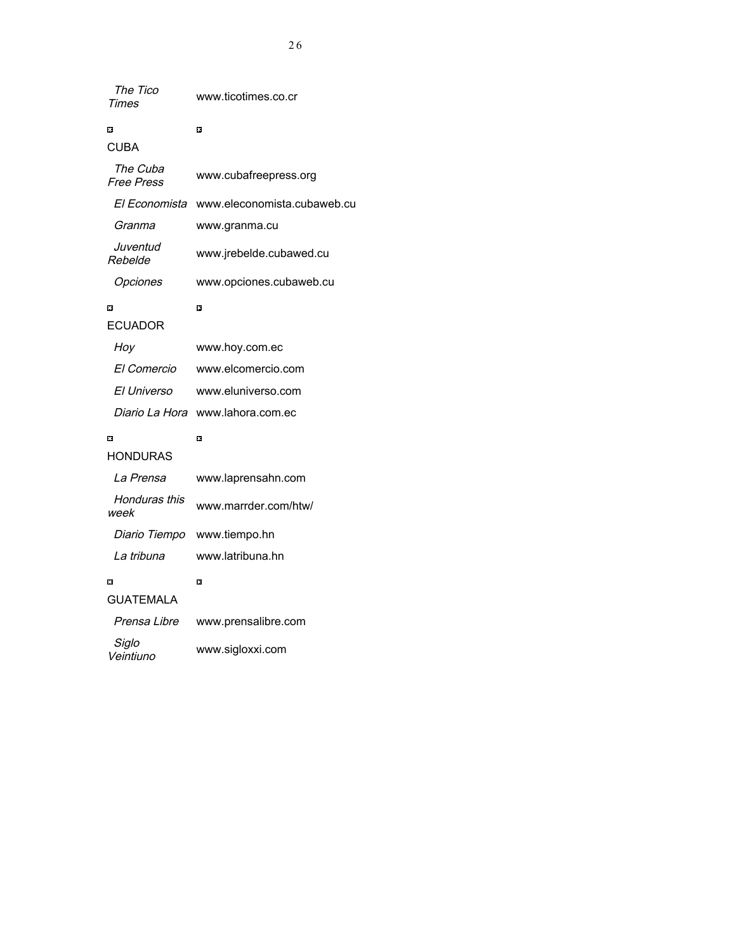| The Tico     | www.ticotimes.co.cr |
|--------------|---------------------|
| <b>Times</b> |                     |

 $\blacksquare$ 

## $\blacksquare$

| CUBA                          |                             |
|-------------------------------|-----------------------------|
| The Cuba<br><b>Free Press</b> | www.cubafreepress.org       |
| El Economista                 | www.eleconomista.cubaweb.cu |
| Granma                        | www.granma.cu               |
| Juventud<br>Rebelde           | www.jrebelde.cubawed.cu     |
| Opciones                      | www.opciones.cubaweb.cu     |
| o                             | o                           |
| ECUADOR                       |                             |
| Hoy                           | www.hoy.com.ec              |
| El Comercio                   | www.elcomercio.com          |
| El Universo                   | www.eluniverso.com          |
| Diario La Hora                | www.lahora.com.ec           |
| п                             | o                           |
| <b>HONDURAS</b>               |                             |
| La Prensa                     | www.laprensahn.com          |
| Honduras this<br>week         | www.marrder.com/htw/        |
| Diario Tiempo                 | www.tiempo.hn               |
| La tribuna                    | www.latribuna.hn            |
| m                             | п                           |
| <b>GUATEMALA</b>              |                             |
| Prensa Libre                  | www.prensalibre.com         |
| Siglo<br>Veintiuno            | www.sigloxxi.com            |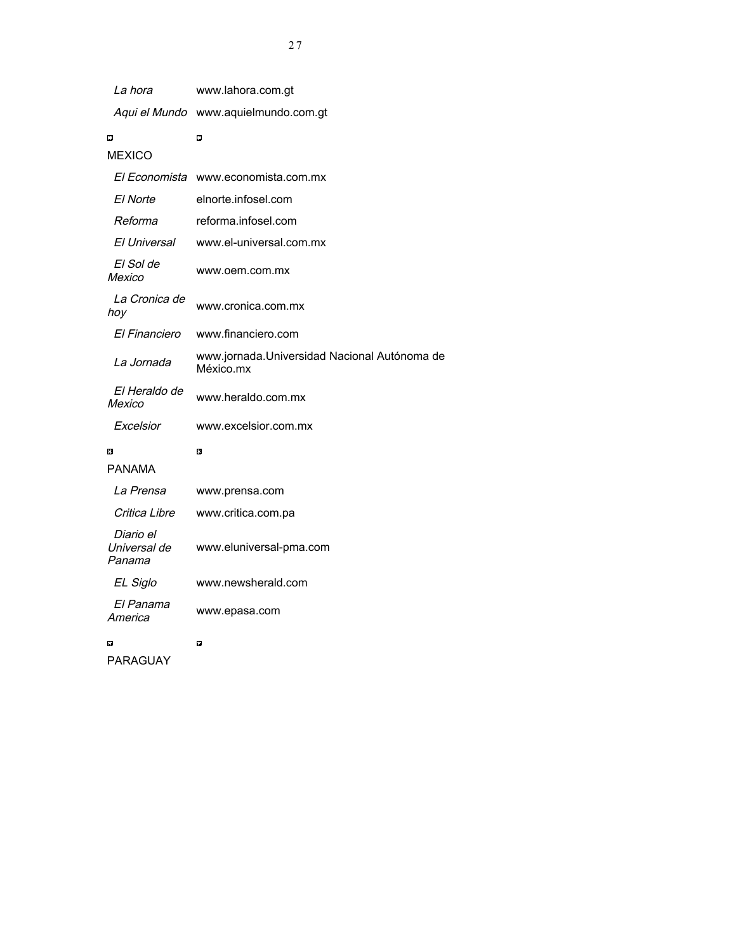| La hora                             | www.lahora.com.gt                                         |
|-------------------------------------|-----------------------------------------------------------|
|                                     | Aqui el Mundo www.aquielmundo.com.gt                      |
| п                                   | n                                                         |
| <b>MEXICO</b>                       |                                                           |
| El Economista                       | www.economista.com.mx                                     |
| El Norte                            | elnorte.infosel.com                                       |
| Reforma                             | reforma.infosel.com                                       |
| El Universal                        | www.el-universal.com.mx                                   |
| El Sol de<br>Mexico                 | www.oem.com.mx                                            |
| La Cronica de<br>hoy                | www.cronica.com.mx                                        |
| El Financiero                       | www.financiero.com                                        |
| La Jornada                          | www.jornada.Universidad Nacional Autónoma de<br>México.mx |
| El Heraldo de<br>Mexico             | www.heraldo.com.mx                                        |
| Excelsior                           | www.excelsior.com.mx                                      |
| 口                                   | 口                                                         |
| PANAMA                              |                                                           |
| La Prensa                           | www.prensa.com                                            |
| Critica Libre                       | www.critica.com.pa                                        |
| Diario el<br>Universal de<br>Panama | www.eluniversal-pma.com                                   |
| EL Siglo                            | www.newsherald.com                                        |
| El Panama<br>America                | www.epasa.com                                             |
| П                                   | O                                                         |

PARAGUAY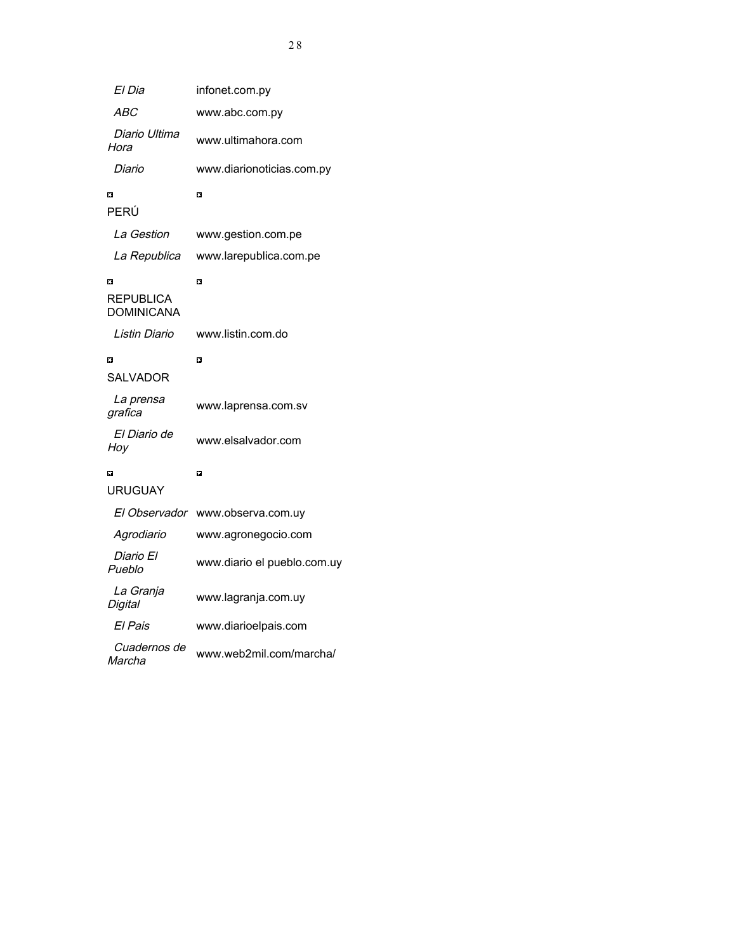| El Dia                              | infonet.com.py              |
|-------------------------------------|-----------------------------|
| <i>ABC</i>                          | www.abc.com.py              |
| Diario Ultima<br>Hora               | www.ultimahora.com          |
| Diario                              | www.diarionoticias.com.py   |
| П                                   | O                           |
| PERÚ                                |                             |
| La Gestion                          | www.gestion.com.pe          |
| La Republica                        | www.larepublica.com.pe      |
| П<br>REPUBLICA<br><b>DOMINICANA</b> | O                           |
| Listin Diario                       | www.listin.com.do           |
| П                                   | m                           |
| SALVADOR                            |                             |
| La prensa<br>grafica                | www.laprensa.com.sv         |
| El Diario de<br>Hoy                 | www.elsalvador.com          |
| $\Box$                              | O                           |
| URUGUAY                             |                             |
| El Observador                       | www.observa.com.uy          |
| Agrodiario                          | www.agronegocio.com         |
| Diario El<br>Pueblo                 | www.diario el pueblo.com.uy |
| La Granja<br>Digital                | www.lagranja.com.uy         |
| El Pais                             | www.diarioelpais.com        |
| <i>Cuadernos de</i><br>Marcha       | www.web2mil.com/marcha/     |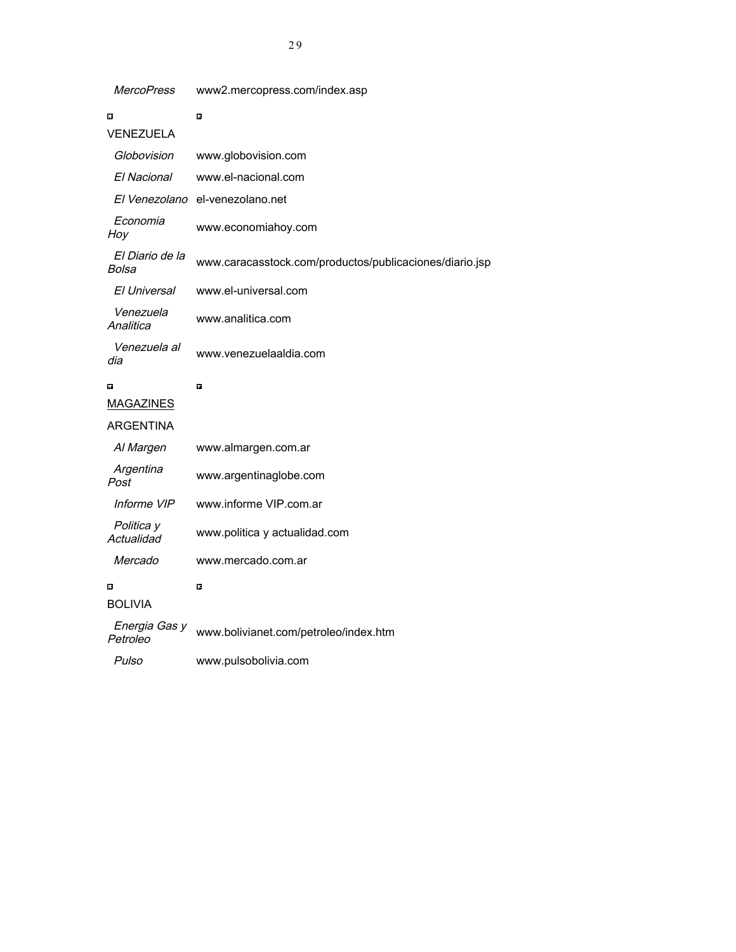| $\Box$                    | $\Box$                                                  |
|---------------------------|---------------------------------------------------------|
| VENEZUELA                 |                                                         |
| Globovision               | www.globovision.com                                     |
| El Nacional               | www.el-nacional.com                                     |
| El Venezolano             | el-venezolano.net                                       |
| Economia<br>Hoy           | www.economiahoy.com                                     |
| El Diario de la<br>Bolsa  | www.caracasstock.com/productos/publicaciones/diario.jsp |
| El Universal              | www.el-universal.com                                    |
| Venezuela<br>Analitica    | www.analitica.com                                       |
| Venezuela al<br>dia       | www.venezuelaaldia.com                                  |
| п                         | m                                                       |
| <b>MAGAZINES</b>          |                                                         |
| ARGENTINA                 |                                                         |
| Al Margen                 | www.almargen.com.ar                                     |
| Argentina<br>Post         | www.argentinaglobe.com                                  |
| Informe VIP               | www.informe VIP.com.ar                                  |
| Politica y<br>Actualidad  | www.politica y actualidad.com                           |
| Mercado                   | www.mercado.com.ar                                      |
| п                         | $\Box$                                                  |
| <b>BOLIVIA</b>            |                                                         |
| Energia Gas y<br>Petroleo | www.bolivianet.com/petroleo/index.htm                   |
| Pulso                     | www.pulsobolivia.com                                    |

# MercoPress www2.mercopress.com/index.asp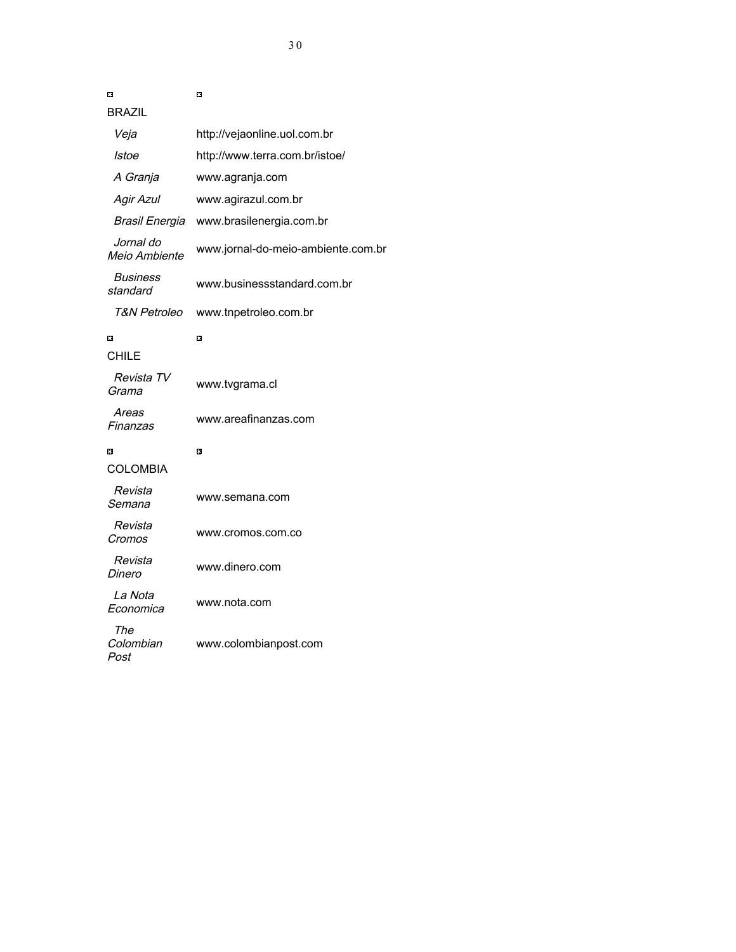| Ω                                  | Π                                  |
|------------------------------------|------------------------------------|
| BRAZIL                             |                                    |
| Veja                               | http://vejaonline.uol.com.br       |
| Istoe                              | http://www.terra.com.br/istoe/     |
| A Granja                           | www.agranja.com                    |
| <b>Agir Azul</b>                   | www.agirazul.com.br                |
| Brasil Energia                     | www.brasilenergia.com.br           |
| Jornal do<br>Meio Ambiente         | www.jornal-do-meio-ambiente.com.br |
| <i><b>Business</b></i><br>standard | www.businessstandard.com.br        |
| T&N Petroleo                       | www.tnpetroleo.com.br              |
| $\Box$<br>CHILE                    | Π                                  |
| Revista TV<br>Grama                | www.tvgrama.cl                     |
| Areas<br>Finanzas                  | www.areafinanzas.com               |
| 口                                  | 口                                  |
| <b>COLOMBIA</b>                    |                                    |
| Revista<br>Semana                  | www.semana.com                     |
| Revista<br>Cromos                  | www.cromos.com.co                  |
| Revista<br>Dinero                  | www.dinero.com                     |
| La Nota<br>Economica               | www.nota.com                       |
| The<br>Colombian<br>Post           | www.colombianpost.com              |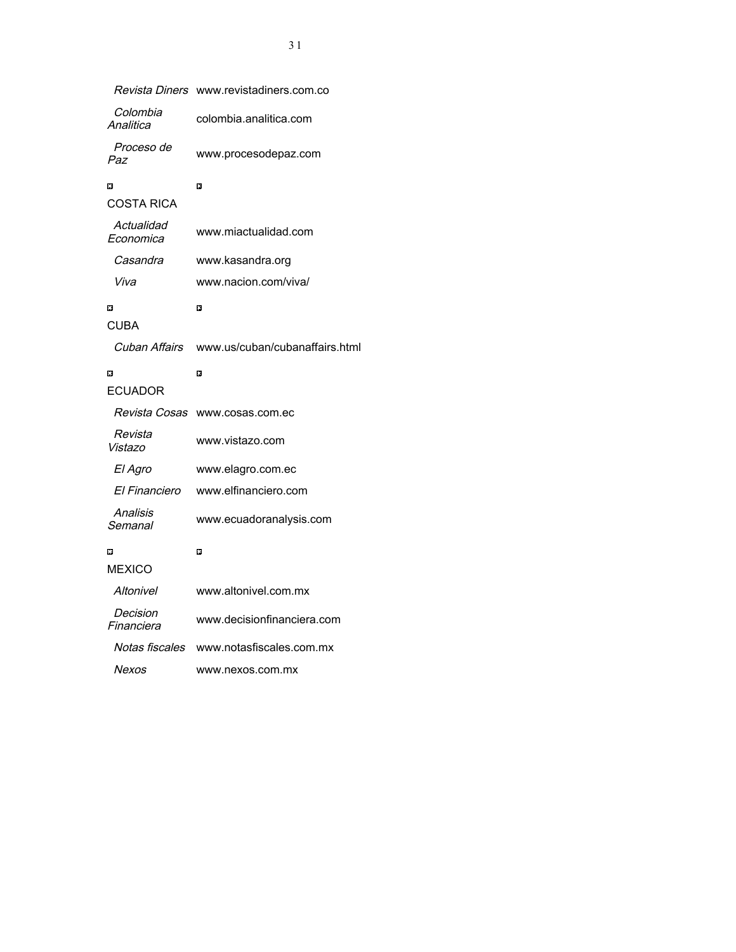|                         | <i>Revista Diners</i> www.revistadiners.com.co |
|-------------------------|------------------------------------------------|
| Colombia<br>Analitica   | colombia.analitica.com                         |
| Proceso de<br>Paz       | www.procesodepaz.com                           |
| 口                       | 口                                              |
| COSTA RICA              |                                                |
| Actualidad<br>Economica | www.miactualidad.com                           |
| Casandra                | www.kasandra.org                               |
| Viva                    | www.nacion.com/viva/                           |
| п                       | n                                              |
| <b>CUBA</b>             |                                                |
| Cuban Affairs           | www.us/cuban/cubanaffairs.html                 |
| п                       | m                                              |
| ECUADOR                 |                                                |
| Revista Cosas           | www.cosas.com.ec                               |
| Revista<br>Vistazo      | www.vistazo.com                                |
| El Agro                 | www.elagro.com.ec                              |
| El Financiero           | www.elfinanciero.com                           |
| Analisis<br>Semanal     | www.ecuadoranalysis.com                        |
| п                       | n                                              |
| <b>MEXICO</b>           |                                                |
| <b>Altonivel</b>        | www.altonivel.com.mx                           |
| Decision<br>Financiera  | www.decisionfinanciera.com                     |
| Notas fiscales          | www.notasfiscales.com.mx                       |
| Nexos                   | www.nexos.com.mx                               |